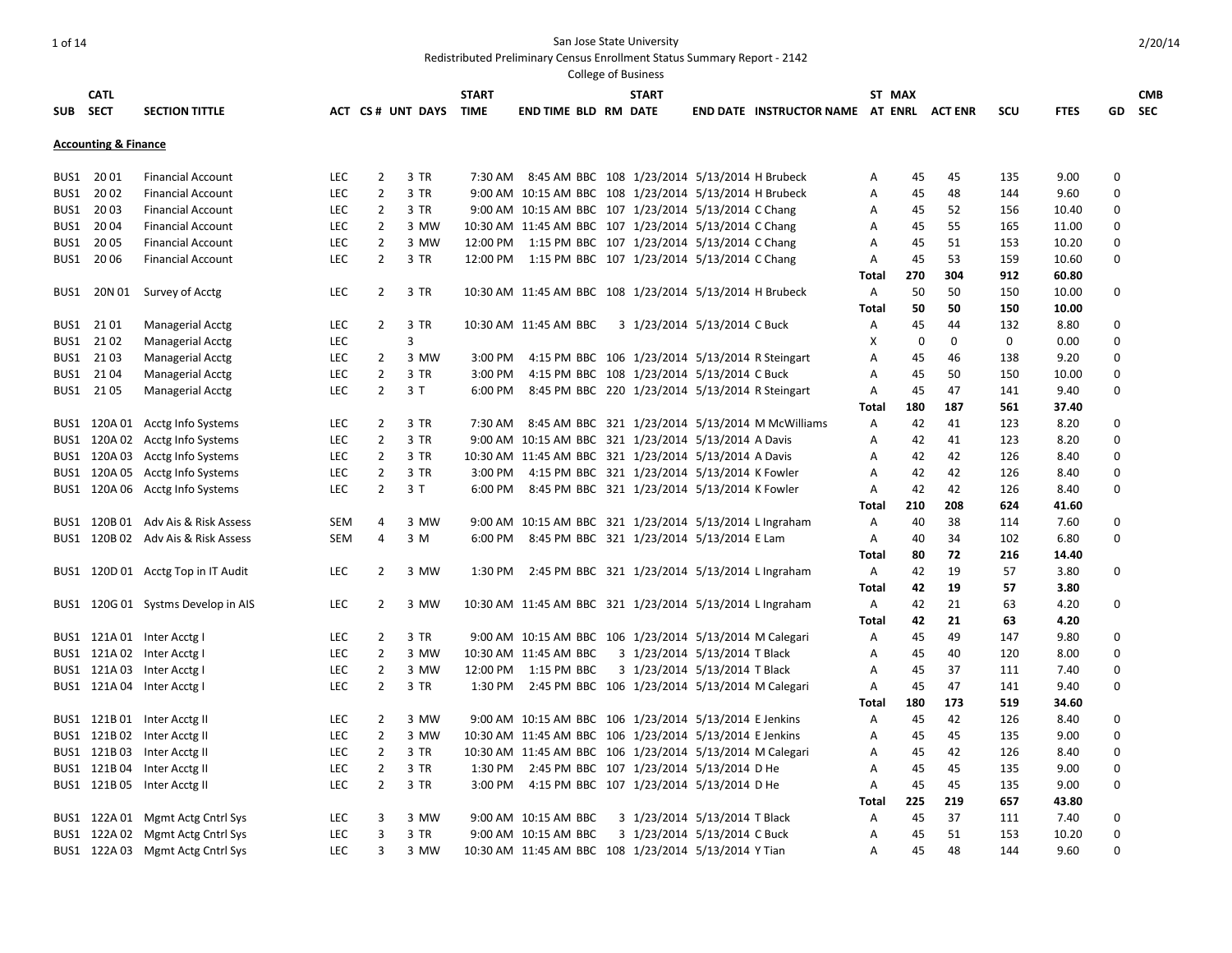Redistributed Preliminary Census Enrollment Status Summary Report - 2142

|      |                                 |                                    |            |                |                       |              |                                                          | <b>College of Business</b>    |                                          |                |        |             |             |             |                  |            |
|------|---------------------------------|------------------------------------|------------|----------------|-----------------------|--------------|----------------------------------------------------------|-------------------------------|------------------------------------------|----------------|--------|-------------|-------------|-------------|------------------|------------|
|      | <b>CATL</b>                     |                                    |            |                |                       | <b>START</b> |                                                          | <b>START</b>                  |                                          |                | ST MAX |             |             |             |                  | <b>CMB</b> |
|      | SUB SECT                        | <b>SECTION TITTLE</b>              |            |                | ACT CS# UNT DAYS TIME |              | <b>END TIME BLD RM DATE</b>                              |                               | END DATE INSTRUCTOR NAME AT ENRL ACT ENR |                |        |             | <b>SCU</b>  | <b>FTES</b> | GD               | <b>SEC</b> |
|      |                                 |                                    |            |                |                       |              |                                                          |                               |                                          |                |        |             |             |             |                  |            |
|      | <b>Accounting &amp; Finance</b> |                                    |            |                |                       |              |                                                          |                               |                                          |                |        |             |             |             |                  |            |
|      |                                 |                                    |            |                |                       |              |                                                          |                               |                                          |                |        |             |             |             |                  |            |
|      | BUS1 2001                       | <b>Financial Account</b>           | LEC        | $\overline{2}$ | 3 TR                  |              | 7:30 AM 8:45 AM BBC 108 1/23/2014 5/13/2014 H Brubeck    |                               |                                          | Α              | 45     | 45          | 135         | 9.00        | 0                |            |
| BUS1 | 2002                            | <b>Financial Account</b>           | <b>LEC</b> | $\overline{2}$ | 3 TR                  |              | 9:00 AM 10:15 AM BBC 108 1/23/2014 5/13/2014 H Brubeck   |                               |                                          | A              | 45     | 48          | 144         | 9.60        | $\mathbf 0$      |            |
| BUS1 | 2003                            | <b>Financial Account</b>           | LEC        | $\overline{2}$ | 3 TR                  |              | 9:00 AM 10:15 AM BBC 107 1/23/2014 5/13/2014 C Chang     |                               |                                          | A              | 45     | 52          | 156         | 10.40       | $\boldsymbol{0}$ |            |
|      | BUS1 2004                       | <b>Financial Account</b>           | <b>LEC</b> | $\overline{2}$ | 3 MW                  |              | 10:30 AM 11:45 AM BBC 107 1/23/2014 5/13/2014 C Chang    |                               |                                          | A              | 45     | 55          | 165         | 11.00       | $\Omega$         |            |
|      | BUS1 2005                       | <b>Financial Account</b>           | LEC        | $\overline{2}$ | 3 MW                  |              | 12:00 PM 1:15 PM BBC 107 1/23/2014 5/13/2014 C Chang     |                               |                                          | A              | 45     | 51          | 153         | 10.20       | $\boldsymbol{0}$ |            |
|      | BUS1 2006                       | <b>Financial Account</b>           | <b>LEC</b> | $\overline{2}$ | 3 TR                  |              | 12:00 PM 1:15 PM BBC 107 1/23/2014 5/13/2014 C Chang     |                               |                                          | A              | 45     | 53          | 159         | 10.60       | $\Omega$         |            |
|      |                                 |                                    |            |                |                       |              |                                                          |                               |                                          | Total          | 270    | 304         | 912         | 60.80       |                  |            |
|      | BUS1 20N 01                     | Survey of Acctg                    | <b>LEC</b> | $\overline{2}$ | 3 TR                  |              | 10:30 AM 11:45 AM BBC 108 1/23/2014 5/13/2014 H Brubeck  |                               |                                          | $\mathsf{A}$   | 50     | 50          | 150         | 10.00       | $\mathbf 0$      |            |
|      |                                 |                                    |            |                |                       |              |                                                          |                               |                                          | <b>Total</b>   | 50     | 50          | 150         | 10.00       |                  |            |
|      | BUS1 2101                       | <b>Managerial Acctg</b>            | LEC        | $\mathbf{2}$   | 3 TR                  |              | 10:30 AM 11:45 AM BBC                                    | 3 1/23/2014 5/13/2014 C Buck  |                                          | Α              | 45     | 44          | 132         | 8.80        | 0                |            |
|      | BUS1 2102                       | <b>Managerial Acctg</b>            | LEC        |                | 3                     |              |                                                          |                               |                                          | Χ              | 0      | $\mathbf 0$ | $\mathbf 0$ | 0.00        | 0                |            |
|      | BUS1 2103                       | Managerial Acctg                   | LEC        | $\overline{2}$ | 3 MW                  |              | 3:00 PM 4:15 PM BBC 106 1/23/2014 5/13/2014 R Steingart  |                               |                                          | A              | 45     | 46          | 138         | 9.20        | $\mathbf 0$      |            |
|      | BUS1 2104                       | Managerial Acctg                   | <b>LEC</b> | $\overline{2}$ | 3 TR                  | 3:00 PM      | 4:15 PM BBC 108 1/23/2014 5/13/2014 C Buck               |                               |                                          | A              | 45     | 50          | 150         | 10.00       | $\Omega$         |            |
|      | BUS1 2105                       | <b>Managerial Acctg</b>            | <b>LEC</b> | $\overline{2}$ | 3T                    |              | 6:00 PM 8:45 PM BBC 220 1/23/2014 5/13/2014 R Steingart  |                               |                                          | A              | 45     | 47          | 141         | 9.40        | $\Omega$         |            |
|      |                                 |                                    |            |                |                       |              |                                                          |                               |                                          | Total          | 180    | 187         | 561         | 37.40       |                  |            |
|      |                                 | BUS1 120A 01 Acctg Info Systems    | <b>LEC</b> | $\overline{2}$ | 3 TR                  |              | 7:30 AM 8:45 AM BBC 321 1/23/2014 5/13/2014 M McWilliams |                               |                                          | $\mathsf{A}$   | 42     | 41          | 123         | 8.20        | $\boldsymbol{0}$ |            |
|      |                                 | BUS1 120A 02 Acctg Info Systems    | <b>LEC</b> | $\overline{2}$ | 3 TR                  |              | 9:00 AM 10:15 AM BBC 321 1/23/2014 5/13/2014 A Davis     |                               |                                          | A              | 42     | 41          | 123         | 8.20        | $\Omega$         |            |
|      |                                 | BUS1 120A 03 Acctg Info Systems    | <b>LEC</b> | $\overline{2}$ | 3 TR                  |              | 10:30 AM 11:45 AM BBC 321 1/23/2014 5/13/2014 A Davis    |                               |                                          | A              | 42     | 42          | 126         | 8.40        | $\Omega$         |            |
|      | BUS1 120A 05                    | Acctg Info Systems                 | LEC        | $\overline{2}$ | 3 TR                  |              | 3:00 PM 4:15 PM BBC 321 1/23/2014 5/13/2014 K Fowler     |                               |                                          | Α              | 42     | 42          | 126         | 8.40        | 0                |            |
|      |                                 | BUS1 120A 06 Acctg Info Systems    | LEC        | $\overline{2}$ | 3T                    | 6:00 PM      | 8:45 PM BBC 321 1/23/2014 5/13/2014 K Fowler             |                               |                                          | $\mathsf{A}$   | 42     | 42          | 126         | 8.40        | $\boldsymbol{0}$ |            |
|      |                                 |                                    |            |                |                       |              |                                                          |                               |                                          |                |        | 208         | 624         |             |                  |            |
|      |                                 |                                    |            |                |                       |              |                                                          |                               |                                          | Total          | 210    |             |             | 41.60       |                  |            |
|      |                                 | BUS1 120B 01 Adv Ais & Risk Assess | <b>SEM</b> | 4              | 3 MW                  |              | 9:00 AM 10:15 AM BBC 321 1/23/2014 5/13/2014 L Ingraham  |                               |                                          | A              | 40     | 38          | 114         | 7.60        | $\Omega$         |            |
|      |                                 | BUS1 120B 02 Adv Ais & Risk Assess | <b>SEM</b> | 4              | 3 M                   |              | 6:00 PM 8:45 PM BBC 321 1/23/2014 5/13/2014 E Lam        |                               |                                          | Α              | 40     | 34          | 102         | 6.80        | $\Omega$         |            |
|      |                                 |                                    |            |                |                       |              |                                                          |                               |                                          | Total          | 80     | 72          | 216         | 14.40       |                  |            |
|      |                                 | BUS1 120D 01 Acctg Top in IT Audit | <b>LEC</b> | $\overline{2}$ | 3 MW                  |              | 1:30 PM 2:45 PM BBC 321 1/23/2014 5/13/2014 L Ingraham   |                               |                                          | $\mathsf{A}$   | 42     | 19          | 57          | 3.80        | $\mathbf 0$      |            |
|      |                                 |                                    |            |                |                       |              |                                                          |                               |                                          | Total          | 42     | 19          | 57          | 3.80        |                  |            |
|      |                                 | BUS1 120G 01 Systms Develop in AIS | <b>LEC</b> | $\overline{2}$ | 3 MW                  |              | 10:30 AM 11:45 AM BBC 321 1/23/2014 5/13/2014 L Ingraham |                               |                                          | A              | 42     | 21          | 63          | 4.20        | 0                |            |
|      |                                 |                                    |            |                |                       |              |                                                          |                               |                                          | Total          | 42     | 21          | 63          | 4.20        |                  |            |
|      |                                 | BUS1 121A 01 Inter Acctg I         | <b>LEC</b> | $\overline{2}$ | 3 TR                  |              | 9:00 AM 10:15 AM BBC 106 1/23/2014 5/13/2014 M Calegari  |                               |                                          | A              | 45     | 49          | 147         | 9.80        | $\mathbf 0$      |            |
|      |                                 | BUS1 121A 02 Inter Acctg I         | LEC        | $\overline{2}$ | 3 MW                  |              | 10:30 AM 11:45 AM BBC                                    | 3 1/23/2014 5/13/2014 T Black |                                          | A              | 45     | 40          | 120         | 8.00        | $\Omega$         |            |
|      |                                 | BUS1 121A 03 Inter Acctg I         | <b>LEC</b> | $\overline{2}$ | 3 MW                  |              | 12:00 PM 1:15 PM BBC                                     | 3 1/23/2014 5/13/2014 T Black |                                          | A              | 45     | 37          | 111         | 7.40        | 0                |            |
|      |                                 | BUS1 121A 04 Inter Acctg I         | <b>LEC</b> | $\overline{2}$ | 3 TR                  |              | 1:30 PM 2:45 PM BBC 106 1/23/2014 5/13/2014 M Calegari   |                               |                                          | $\overline{A}$ | 45     | 47          | 141         | 9.40        | $\mathbf 0$      |            |
|      |                                 |                                    |            |                |                       |              |                                                          |                               |                                          | Total          | 180    | 173         | 519         | 34.60       |                  |            |
|      | BUS1 121B01                     | Inter Acctg II                     | LEC        | $\overline{2}$ | 3 MW                  |              | 9:00 AM 10:15 AM BBC 106 1/23/2014 5/13/2014 E Jenkins   |                               |                                          | Α              | 45     | 42          | 126         | 8.40        | 0                |            |
|      | BUS1 121B02                     | Inter Acctg II                     | LEC        | $\overline{2}$ | 3 MW                  |              | 10:30 AM 11:45 AM BBC 106 1/23/2014 5/13/2014 E Jenkins  |                               |                                          | Α              | 45     | 45          | 135         | 9.00        | 0                |            |
|      | BUS1 121B03                     | Inter Acctg II                     | LEC        | $\overline{2}$ | 3 TR                  |              | 10:30 AM 11:45 AM BBC 106 1/23/2014 5/13/2014 M Calegari |                               |                                          | Α              | 45     | 42          | 126         | 8.40        | $\boldsymbol{0}$ |            |
|      | BUS1 121B04                     | Inter Acctg II                     | LEC        | $\overline{2}$ | 3 TR                  |              | 1:30 PM 2:45 PM BBC 107 1/23/2014 5/13/2014 D He         |                               |                                          | A              | 45     | 45          | 135         | 9.00        | 0                |            |
|      | BUS1 121B05                     | Inter Acctg II                     | <b>LEC</b> | $\overline{2}$ | 3 TR                  |              | 3:00 PM 4:15 PM BBC 107 1/23/2014 5/13/2014 D He         |                               |                                          | A              | 45     | 45          | 135         | 9.00        | $\boldsymbol{0}$ |            |
|      |                                 |                                    |            |                |                       |              |                                                          |                               |                                          | Total          | 225    | 219         | 657         | 43.80       |                  |            |
|      |                                 | BUS1 122A 01 Mgmt Actg Cntrl Sys   | LEC        | 3              | 3 MW                  |              | 9:00 AM 10:15 AM BBC                                     | 3 1/23/2014 5/13/2014 T Black |                                          | A              | 45     | 37          | 111         | 7.40        | 0                |            |
|      |                                 |                                    | <b>LEC</b> | 3              | 3 TR                  |              | 9:00 AM 10:15 AM BBC                                     | 3 1/23/2014 5/13/2014 C Buck  |                                          | A              | 45     | 51          | 153         | 10.20       | 0                |            |
|      |                                 | BUS1 122A 02 Mgmt Actg Cntrl Sys   |            |                |                       |              |                                                          |                               |                                          |                |        |             |             |             | $\Omega$         |            |
|      |                                 | BUS1 122A 03 Mgmt Actg Cntrl Sys   | <b>LEC</b> | 3              | 3 MW                  |              | 10:30 AM 11:45 AM BBC 108 1/23/2014 5/13/2014 Y Tian     |                               |                                          | A              | 45     | 48          | 144         | 9.60        |                  |            |

2/20/14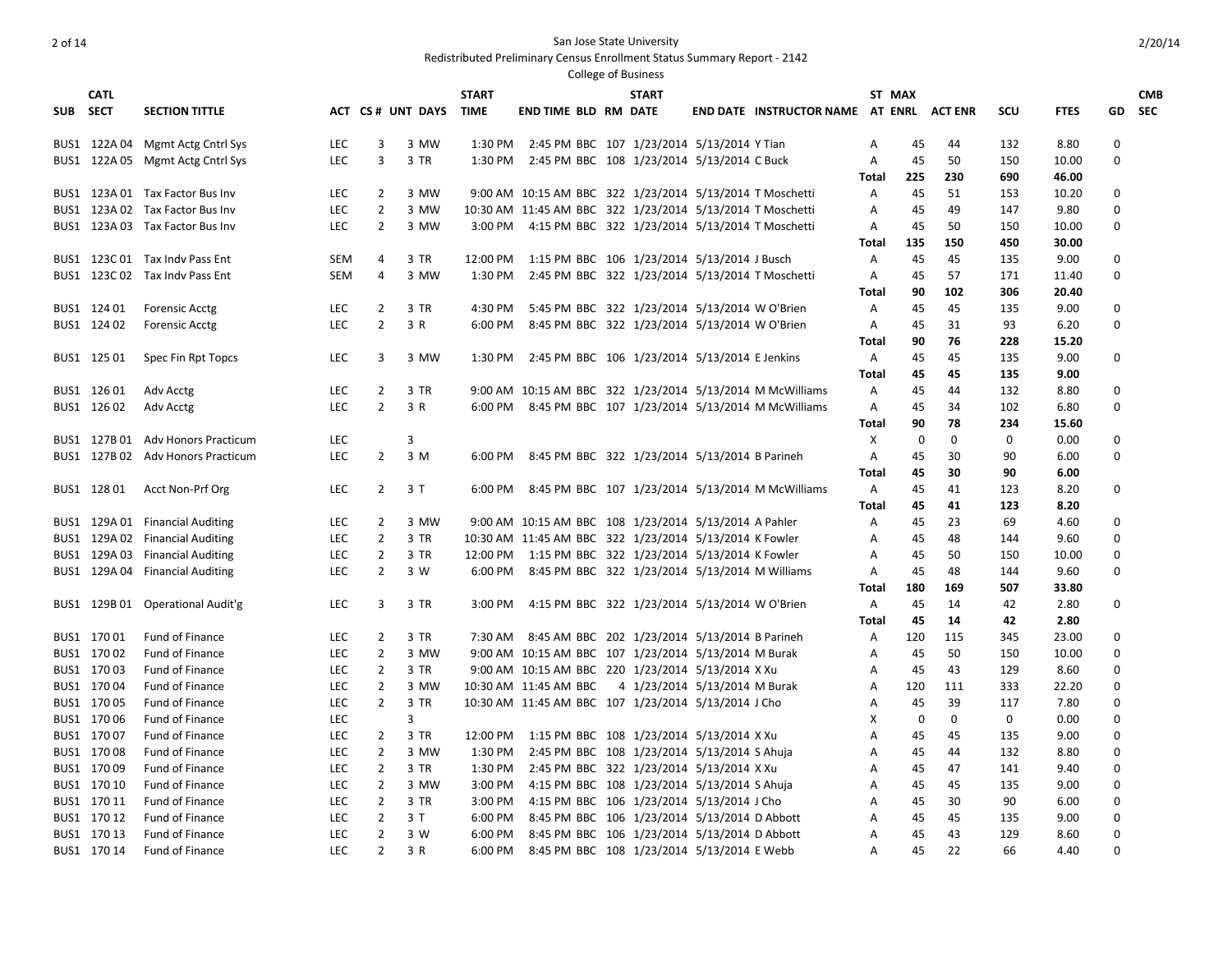Redistributed Preliminary Census Enrollment Status Summary Report - 2142

|          | <b>CATL</b> |                                   |            |                |                  | <b>START</b> |                                                           | <b>START</b> |                               |                                  |              | ST MAX      |                |             |             |                  | <b>CMB</b> |
|----------|-------------|-----------------------------------|------------|----------------|------------------|--------------|-----------------------------------------------------------|--------------|-------------------------------|----------------------------------|--------------|-------------|----------------|-------------|-------------|------------------|------------|
| SUB SECT |             | <b>SECTION TITTLE</b>             |            |                | ACT CS# UNT DAYS | <b>TIME</b>  | <b>END TIME BLD RM DATE</b>                               |              |                               | END DATE INSTRUCTOR NAME AT ENRL |              |             | <b>ACT ENR</b> | <b>SCU</b>  | <b>FTES</b> | GD               | <b>SEC</b> |
|          |             | BUS1 122A 04 Mgmt Actg Cntrl Sys  | <b>LEC</b> | 3              | 3 MW             |              | 1:30 PM 2:45 PM BBC 107 1/23/2014 5/13/2014 Y Tian        |              |                               |                                  | A            | 45          | 44             | 132         | 8.80        | 0                |            |
|          |             | BUS1 122A 05 Mgmt Actg Cntrl Sys  | LEC        | 3              | 3 TR             |              | 1:30 PM 2:45 PM BBC 108 1/23/2014 5/13/2014 C Buck        |              |                               |                                  | $\mathsf{A}$ | 45          | 50             | 150         | 10.00       | $\mathbf 0$      |            |
|          |             |                                   |            |                |                  |              |                                                           |              |                               |                                  | Total        | 225         | 230            | 690         | 46.00       |                  |            |
|          |             | BUS1 123A 01 Tax Factor Bus Inv   | <b>LEC</b> | $\overline{2}$ | 3 MW             |              | 9:00 AM 10:15 AM BBC 322 1/23/2014 5/13/2014 T Moschetti  |              |                               |                                  | A            | 45          | 51             | 153         | 10.20       | 0                |            |
|          |             | BUS1 123A 02 Tax Factor Bus Inv   | <b>LEC</b> | $\overline{2}$ | 3 MW             |              | 10:30 AM 11:45 AM BBC 322 1/23/2014 5/13/2014 T Moschetti |              |                               |                                  | A            | 45          | 49             | 147         | 9.80        | $\Omega$         |            |
|          |             | BUS1 123A 03 Tax Factor Bus Inv   | <b>LEC</b> | $\overline{2}$ | 3 MW             |              | 3:00 PM 4:15 PM BBC 322 1/23/2014 5/13/2014 T Moschetti   |              |                               |                                  | A            | 45          | 50             | 150         | 10.00       | $\mathbf 0$      |            |
|          |             |                                   |            |                |                  |              |                                                           |              |                               |                                  | Total        | 135         | 150            | 450         | 30.00       |                  |            |
|          |             | BUS1 123C 01 Tax Indy Pass Ent    | <b>SEM</b> | 4              | 3 TR             |              | 12:00 PM 1:15 PM BBC 106 1/23/2014 5/13/2014 J Busch      |              |                               |                                  | Α            | 45          | 45             | 135         | 9.00        | 0                |            |
|          |             | BUS1 123C 02 Tax Indv Pass Ent    | <b>SEM</b> | 4              | 3 MW             |              | 1:30 PM 2:45 PM BBC 322 1/23/2014 5/13/2014 T Moschetti   |              |                               |                                  | $\mathsf{A}$ | 45          | 57             | 171         | 11.40       | 0                |            |
|          |             |                                   |            |                |                  |              |                                                           |              |                               |                                  | Total        | 90          | 102            | 306         | 20.40       |                  |            |
|          | BUS1 124 01 | <b>Forensic Acctg</b>             | <b>LEC</b> | 2              | 3 TR             |              | 4:30 PM 5:45 PM BBC 322 1/23/2014 5/13/2014 W O'Brien     |              |                               |                                  | A            | 45          | 45             | 135         | 9.00        | $\Omega$         |            |
|          | BUS1 124 02 | <b>Forensic Acctg</b>             | LEC        | $\overline{2}$ | 3 R              |              | 6:00 PM 8:45 PM BBC 322 1/23/2014 5/13/2014 W O'Brien     |              |                               |                                  | $\mathsf{A}$ | 45          | 31             | 93          | 6.20        | $\mathbf 0$      |            |
|          |             |                                   |            |                |                  |              |                                                           |              |                               |                                  | Total        | 90          | 76             | 228         | 15.20       |                  |            |
|          | BUS1 125 01 | Spec Fin Rpt Topcs                | <b>LEC</b> | 3              | 3 MW             |              | 1:30 PM 2:45 PM BBC 106 1/23/2014 5/13/2014 E Jenkins     |              |                               |                                  | $\mathsf{A}$ | 45          | 45             | 135         | 9.00        | $\mathbf 0$      |            |
|          |             |                                   |            |                |                  |              |                                                           |              |                               |                                  | Total        | 45          | 45             | 135         | 9.00        |                  |            |
|          | BUS1 126 01 | Adv Acctg                         | <b>LEC</b> | $\overline{2}$ | 3 TR             |              | 9:00 AM 10:15 AM BBC 322 1/23/2014 5/13/2014 M McWilliams |              |                               |                                  | Α            | 45          | 44             | 132         | 8.80        | $\boldsymbol{0}$ |            |
|          | BUS1 126 02 | Adv Acctg                         | <b>LEC</b> | $\overline{2}$ | 3 R              |              | 6:00 PM 8:45 PM BBC 107 1/23/2014 5/13/2014 M McWilliams  |              |                               |                                  | A            | 45          | 34             | 102         | 6.80        | $\Omega$         |            |
|          |             |                                   |            |                |                  |              |                                                           |              |                               |                                  | Total        | 90          | 78             | 234         | 15.60       |                  |            |
|          |             | BUS1 127B 01 Adv Honors Practicum | <b>LEC</b> |                | 3                |              |                                                           |              |                               |                                  | $\times$     | $\mathbf 0$ | $\mathbf 0$    | 0           | 0.00        | 0                |            |
|          |             | BUS1 127B 02 Adv Honors Practicum | LEC        | $\mathbf{2}$   | 3 M              |              | 6:00 PM 8:45 PM BBC 322 1/23/2014 5/13/2014 B Parineh     |              |                               |                                  | Α            | 45          | 30             | 90          | 6.00        | 0                |            |
|          |             |                                   |            |                |                  |              |                                                           |              |                               |                                  | <b>Total</b> | 45          | 30             | 90          | 6.00        |                  |            |
|          | BUS1 12801  | Acct Non-Prf Org                  | <b>LEC</b> | $\overline{2}$ | 3T               |              | 6:00 PM 8:45 PM BBC 107 1/23/2014 5/13/2014 M McWilliams  |              |                               |                                  | A            | 45          | 41             | 123         | 8.20        | $\boldsymbol{0}$ |            |
|          |             |                                   |            |                |                  |              |                                                           |              |                               |                                  | Total        | 45          | 41             | 123         |             |                  |            |
|          |             |                                   |            | $\overline{2}$ | 3 MW             |              |                                                           |              |                               |                                  |              |             | 23             | 69          | 8.20        | 0                |            |
|          |             | BUS1 129A 01 Financial Auditing   | LEC        |                |                  |              | 9:00 AM 10:15 AM BBC 108 1/23/2014 5/13/2014 A Pahler     |              |                               |                                  | $\mathsf{A}$ | 45          |                |             | 4.60        |                  |            |
|          |             | BUS1 129A 02 Financial Auditing   | <b>LEC</b> | 2              | 3 TR             |              | 10:30 AM 11:45 AM BBC 322 1/23/2014 5/13/2014 K Fowler    |              |                               |                                  | A            | 45          | 48             | 144         | 9.60        | 0                |            |
|          |             | BUS1 129A 03 Financial Auditing   | <b>LEC</b> | $\overline{2}$ | 3 TR             |              | 12:00 PM 1:15 PM BBC 322 1/23/2014 5/13/2014 K Fowler     |              |                               |                                  | $\mathsf{A}$ | 45          | 50             | 150         | 10.00       | 0                |            |
|          |             | BUS1 129A 04 Financial Auditing   | <b>LEC</b> | $\overline{2}$ | 3 W              |              | 6:00 PM 8:45 PM BBC 322 1/23/2014 5/13/2014 M Williams    |              |                               |                                  | Α            | 45          | 48             | 144         | 9.60        | $\boldsymbol{0}$ |            |
|          |             |                                   |            |                |                  |              |                                                           |              |                               |                                  | Total        | 180         | 169            | 507         | 33.80       |                  |            |
|          |             | BUS1 129B 01 Operational Audit'g  | <b>LEC</b> | 3              | 3 TR             |              | 3:00 PM 4:15 PM BBC 322 1/23/2014 5/13/2014 W O'Brien     |              |                               |                                  | A            | 45          | 14             | 42          | 2.80        | 0                |            |
|          |             |                                   |            |                |                  |              |                                                           |              |                               |                                  | Total        | 45          | 14             | 42          | 2.80        |                  |            |
|          | BUS1 17001  | Fund of Finance                   | <b>LEC</b> | $\overline{2}$ | 3 TR             |              | 7:30 AM 8:45 AM BBC 202 1/23/2014 5/13/2014 B Parineh     |              |                               |                                  | $\mathsf{A}$ | 120         | 115            | 345         | 23.00       | $\boldsymbol{0}$ |            |
|          | BUS1 17002  | Fund of Finance                   | <b>LEC</b> | $\overline{2}$ | 3 MW             |              | 9:00 AM 10:15 AM BBC 107 1/23/2014 5/13/2014 M Burak      |              |                               |                                  | Α            | 45          | 50             | 150         | 10.00       | 0                |            |
|          | BUS1 17003  | <b>Fund of Finance</b>            | <b>LEC</b> | $\overline{2}$ | 3 TR             |              | 9:00 AM 10:15 AM BBC 220 1/23/2014 5/13/2014 X Xu         |              |                               |                                  | A            | 45          | 43             | 129         | 8.60        | $\Omega$         |            |
|          | BUS1 17004  | <b>Fund of Finance</b>            | <b>LEC</b> | $\overline{2}$ | 3 MW             |              | 10:30 AM 11:45 AM BBC                                     |              | 4 1/23/2014 5/13/2014 M Burak |                                  | A            | 120         | 111            | 333         | 22.20       | 0                |            |
|          | BUS1 170 05 | Fund of Finance                   | <b>LEC</b> | $\overline{2}$ | 3 TR             |              | 10:30 AM 11:45 AM BBC 107 1/23/2014 5/13/2014 J Cho       |              |                               |                                  | A            | 45          | 39             | 117         | 7.80        | $\Omega$         |            |
|          | BUS1 170 06 | Fund of Finance                   | LEC        |                | 3                |              |                                                           |              |                               |                                  | Χ            | 0           | $\mathbf 0$    | $\mathbf 0$ | 0.00        | $\boldsymbol{0}$ |            |
|          | BUS1 17007  | <b>Fund of Finance</b>            | LEC        | $\overline{2}$ | 3 TR             |              | 12:00 PM 1:15 PM BBC 108 1/23/2014 5/13/2014 X Xu         |              |                               |                                  | $\mathsf{A}$ | 45          | 45             | 135         | 9.00        | $\boldsymbol{0}$ |            |
|          | BUS1 17008  | <b>Fund of Finance</b>            | <b>LEC</b> | $\overline{2}$ | 3 MW             |              | 1:30 PM 2:45 PM BBC 108 1/23/2014 5/13/2014 S Ahuja       |              |                               |                                  | A            | 45          | 44             | 132         | 8.80        | 0                |            |
|          | BUS1 17009  | <b>Fund of Finance</b>            | LEC        | $\overline{2}$ | 3 TR             |              | 1:30 PM 2:45 PM BBC 322 1/23/2014 5/13/2014 X Xu          |              |                               |                                  | A            | 45          | 47             | 141         | 9.40        | 0                |            |
|          | BUS1 170 10 | Fund of Finance                   | <b>LEC</b> | $\overline{2}$ | 3 MW             | 3:00 PM      | 4:15 PM BBC 108 1/23/2014 5/13/2014 S Ahuja               |              |                               |                                  | A            | 45          | 45             | 135         | 9.00        | $\Omega$         |            |
|          | BUS1 170 11 | Fund of Finance                   | LEC        | $\overline{2}$ | 3 TR             |              | 3:00 PM 4:15 PM BBC 106 1/23/2014 5/13/2014 J Cho         |              |                               |                                  | Α            | 45          | 30             | 90          | 6.00        | $\boldsymbol{0}$ |            |
|          | BUS1 170 12 | <b>Fund of Finance</b>            | LEC        | $\overline{2}$ | 3T               | 6:00 PM      | 8:45 PM BBC 106 1/23/2014 5/13/2014 D Abbott              |              |                               |                                  | A            | 45          | 45             | 135         | 9.00        | $\boldsymbol{0}$ |            |
|          | BUS1 170 13 | <b>Fund of Finance</b>            | <b>LEC</b> | $\overline{2}$ | 3 W              | 6:00 PM      | 8:45 PM BBC 106 1/23/2014 5/13/2014 D Abbott              |              |                               |                                  | $\mathsf{A}$ | 45          | 43             | 129         | 8.60        | $\Omega$         |            |
|          | BUS1 170 14 | <b>Fund of Finance</b>            | <b>LEC</b> | $\overline{2}$ | 3 R              | 6:00 PM      | 8:45 PM BBC 108 1/23/2014 5/13/2014 E Webb                |              |                               |                                  | $\mathsf{A}$ | 45          | 22             | 66          | 4.40        | $\Omega$         |            |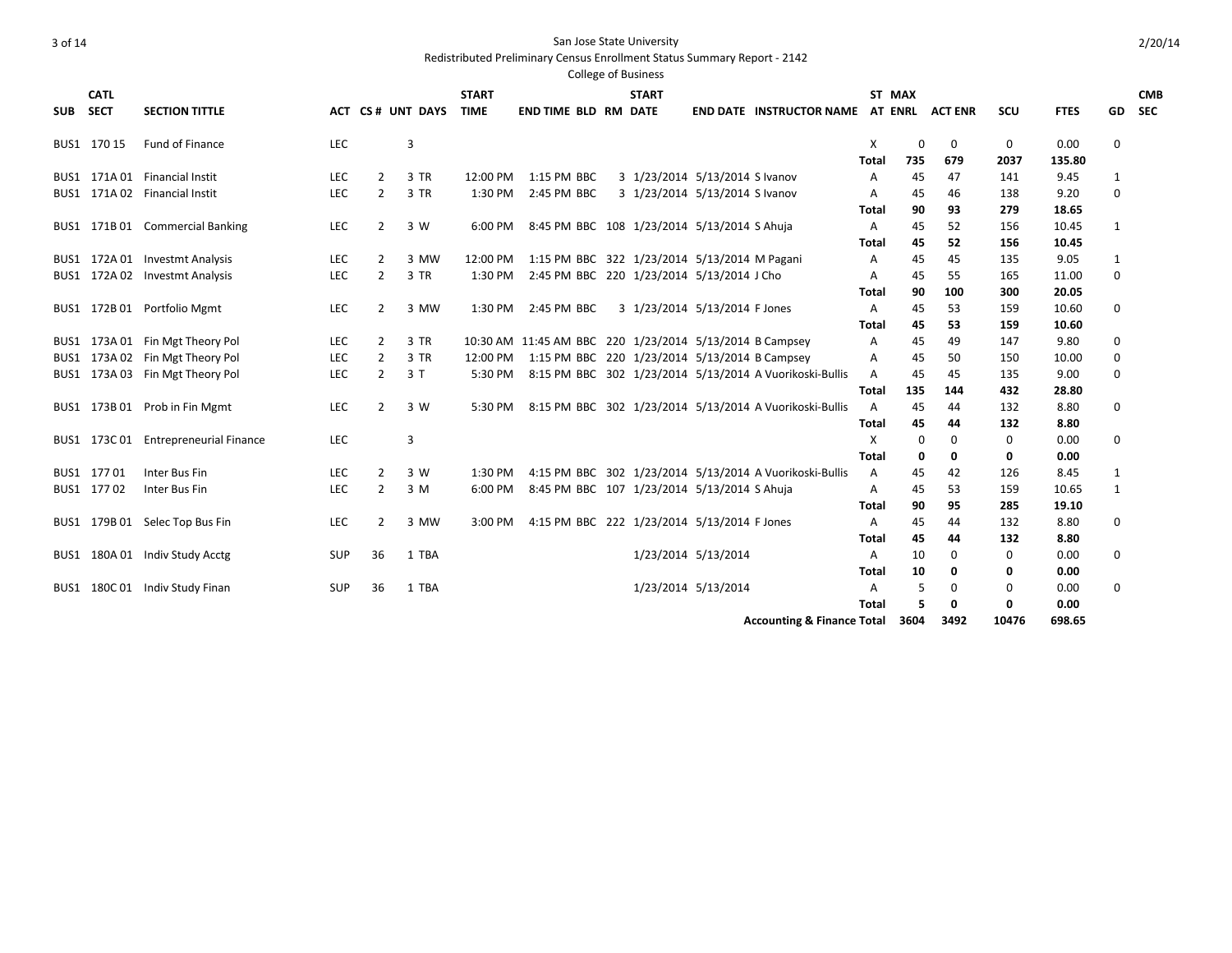Redistributed Preliminary Census Enrollment Status Summary Report - 2142

|          | <b>CATL</b>  |                                 |            |                |              | <b>START</b> |                                                         | <b>START</b> |                                |                                                         |              | ST MAX   |                |             |             |              | <b>CMB</b> |
|----------|--------------|---------------------------------|------------|----------------|--------------|--------------|---------------------------------------------------------|--------------|--------------------------------|---------------------------------------------------------|--------------|----------|----------------|-------------|-------------|--------------|------------|
| SUB SECT |              | <b>SECTION TITTLE</b>           | АСТ        |                | CS# UNT DAYS | <b>TIME</b>  | <b>END TIME BLD RM DATE</b>                             |              |                                | <b>END DATE INSTRUCTOR NAME AT ENRL</b>                 |              |          | <b>ACT ENR</b> | <b>SCU</b>  | <b>FTES</b> | GD           | <b>SEC</b> |
|          | BUS1 170 15  | Fund of Finance                 | <b>LEC</b> |                | 3            |              |                                                         |              |                                |                                                         | X            | $\Omega$ | 0              | 0           | 0.00        | 0            |            |
|          |              |                                 |            |                |              |              |                                                         |              |                                |                                                         | Total        | 735      | 679            | 2037        | 135.80      |              |            |
|          | BUS1 171A01  | <b>Financial Instit</b>         | <b>LEC</b> | 2              | 3 TR         | 12:00 PM     | 1:15 PM BBC                                             |              | 3 1/23/2014 5/13/2014 S Ivanov |                                                         | A            | 45       | 47             | 141         | 9.45        | 1            |            |
|          |              | BUS1 171A 02 Financial Instit   | <b>LEC</b> | $\overline{2}$ | 3 TR         | 1:30 PM      | 2:45 PM BBC                                             |              | 3 1/23/2014 5/13/2014 S Ivanov |                                                         | A            | 45       | 46             | 138         | 9.20        | $\mathbf 0$  |            |
|          |              |                                 |            |                |              |              |                                                         |              |                                |                                                         | Total        | 90       | 93             | 279         | 18.65       |              |            |
|          |              | BUS1 171B 01 Commercial Banking | <b>LEC</b> | $\overline{2}$ | 3 W          | 6:00 PM      | 8:45 PM BBC 108 1/23/2014 5/13/2014 S Ahuja             |              |                                |                                                         | A            | 45       | 52             | 156         | 10.45       | $\mathbf{1}$ |            |
|          |              |                                 |            |                |              |              |                                                         |              |                                |                                                         | Total        | 45       | 52             | 156         | 10.45       |              |            |
|          | BUS1 172A 01 | <b>Investmt Analysis</b>        | <b>LEC</b> | 2              | 3 MW         | 12:00 PM     | 1:15 PM BBC 322 1/23/2014 5/13/2014 M Pagani            |              |                                |                                                         | A            | 45       | 45             | 135         | 9.05        | 1            |            |
|          |              | BUS1 172A 02 Investmt Analysis  | <b>LEC</b> | $\overline{2}$ | 3 TR         | 1:30 PM      | 2:45 PM BBC 220 1/23/2014 5/13/2014 J Cho               |              |                                |                                                         | A            | 45       | 55             | 165         | 11.00       | $\mathbf 0$  |            |
|          |              |                                 |            |                |              |              |                                                         |              |                                |                                                         | Total        | 90       | 100            | 300         | 20.05       |              |            |
|          |              | BUS1 172B 01 Portfolio Mgmt     | <b>LEC</b> | $\overline{2}$ | 3 MW         |              | 1:30 PM 2:45 PM BBC                                     |              | 3 1/23/2014 5/13/2014 F Jones  |                                                         | A            | 45       | 53             | 159         | 10.60       | 0            |            |
|          |              |                                 |            |                |              |              |                                                         |              |                                |                                                         | Total        | 45       | 53             | 159         | 10.60       |              |            |
|          |              | BUS1 173A 01 Fin Mgt Theory Pol | <b>LEC</b> | $\overline{2}$ | 3 TR         |              | 10:30 AM 11:45 AM BBC 220 1/23/2014 5/13/2014 B Campsey |              |                                |                                                         | A            | 45       | 49             | 147         | 9.80        | 0            |            |
|          |              | BUS1 173A 02 Fin Mgt Theory Pol | <b>LEC</b> | $\overline{2}$ | 3 TR         |              | 12:00 PM 1:15 PM BBC 220 1/23/2014 5/13/2014 B Campsey  |              |                                |                                                         | A            | 45       | 50             | 150         | 10.00       | 0            |            |
|          |              | BUS1 173A 03 Fin Mgt Theory Pol | <b>LEC</b> | $\overline{2}$ | 3T           | 5:30 PM      |                                                         |              |                                | 8:15 PM BBC 302 1/23/2014 5/13/2014 A Vuorikoski-Bullis | A            | 45       | 45             | 135         | 9.00        | $\mathbf 0$  |            |
|          |              |                                 |            |                |              |              |                                                         |              |                                |                                                         | Total        | 135      | 144            | 432         | 28.80       |              |            |
|          |              | BUS1 173B 01 Prob in Fin Mgmt   | <b>LEC</b> | 2              | 3 W          | 5:30 PM      |                                                         |              |                                | 8:15 PM BBC 302 1/23/2014 5/13/2014 A Vuorikoski-Bullis | $\mathsf{A}$ | 45       | 44             | 132         | 8.80        | 0            |            |
|          |              |                                 |            |                |              |              |                                                         |              |                                |                                                         | Total        | 45       | 44             | 132         | 8.80        |              |            |
|          | BUS1 173C01  | <b>Entrepreneurial Finance</b>  | <b>LEC</b> |                | 3            |              |                                                         |              |                                |                                                         | X            | 0        | 0              | 0           | 0.00        | 0            |            |
|          |              |                                 |            |                |              |              |                                                         |              |                                |                                                         | Total        | 0        | 0              | 0           | 0.00        |              |            |
|          | BUS1 17701   | Inter Bus Fin                   | <b>LEC</b> | $\overline{2}$ | 3 W          | 1:30 PM      |                                                         |              |                                | 4:15 PM BBC 302 1/23/2014 5/13/2014 A Vuorikoski-Bullis | A            | 45       | 42             | 126         | 8.45        | 1            |            |
|          | BUS1 17702   | Inter Bus Fin                   | <b>LEC</b> | $\overline{2}$ | 3 M          | 6:00 PM      | 8:45 PM BBC 107 1/23/2014 5/13/2014 S Ahuja             |              |                                |                                                         | Α            | 45       | 53             | 159         | 10.65       | $\mathbf{1}$ |            |
|          |              |                                 |            |                |              |              |                                                         |              |                                |                                                         | Total        | 90       | 95             | 285         | 19.10       |              |            |
|          |              | BUS1 179B 01 Selec Top Bus Fin  | <b>LEC</b> | $\overline{2}$ | 3 MW         | 3:00 PM      | 4:15 PM BBC 222 1/23/2014 5/13/2014 F Jones             |              |                                |                                                         | A            | 45       | 44             | 132         | 8.80        | 0            |            |
|          |              |                                 |            |                |              |              |                                                         |              |                                |                                                         | Total        | 45       | 44             | 132         | 8.80        |              |            |
|          |              | BUS1 180A 01 Indiv Study Acctg  | SUP        | 36             | 1 TBA        |              |                                                         |              | 1/23/2014 5/13/2014            |                                                         | A            | 10       | 0              | $\mathbf 0$ | 0.00        | 0            |            |
|          |              |                                 |            |                |              |              |                                                         |              |                                |                                                         | Total        | 10       | 0              | 0           | 0.00        |              |            |
|          |              | BUS1 180C 01 Indiv Study Finan  | SUP        | 36             | 1 TBA        |              |                                                         |              | 1/23/2014 5/13/2014            |                                                         | A            | 5        | 0              | 0           | 0.00        | 0            |            |
|          |              |                                 |            |                |              |              |                                                         |              |                                |                                                         | Total        | 5        | 0              | 0           | 0.00        |              |            |
|          |              |                                 |            |                |              |              |                                                         |              |                                | <b>Accounting &amp; Finance Total</b>                   |              | 3604     | 3492           | 10476       | 698.65      |              |            |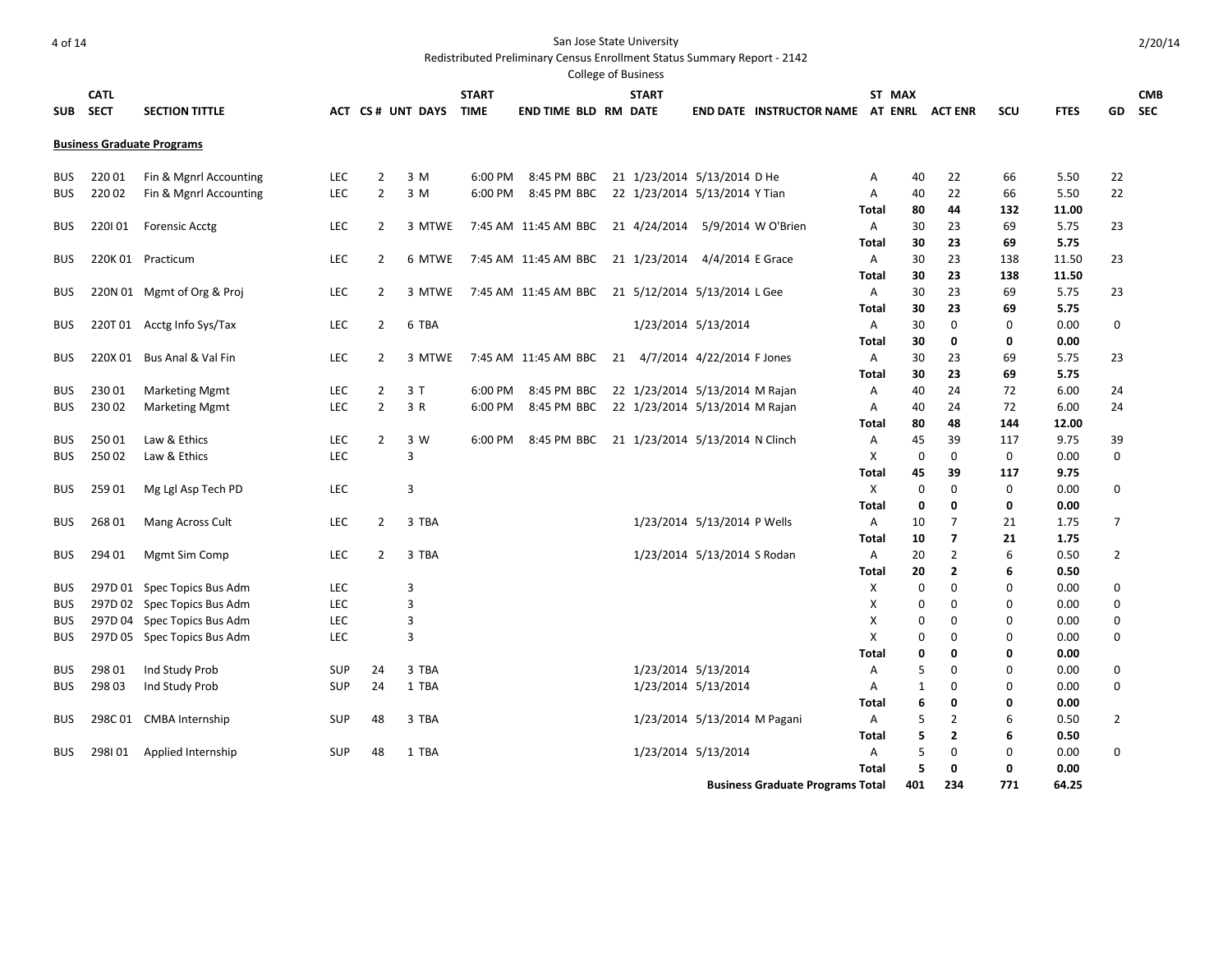|            |             |                                   |            |                |                  |              |                                                   | College of Business             |                              |                                         |              |                   |                         |                    |              |                  |            |
|------------|-------------|-----------------------------------|------------|----------------|------------------|--------------|---------------------------------------------------|---------------------------------|------------------------------|-----------------------------------------|--------------|-------------------|-------------------------|--------------------|--------------|------------------|------------|
|            | <b>CATL</b> |                                   |            |                |                  | <b>START</b> |                                                   | <b>START</b>                    |                              |                                         |              | ST MAX            |                         |                    |              |                  | <b>CMB</b> |
| <b>SUB</b> | <b>SECT</b> | <b>SECTION TITTLE</b>             |            |                | ACT CS# UNT DAYS | <b>TIME</b>  | <b>END TIME BLD RM DATE</b>                       |                                 |                              | END DATE INSTRUCTOR NAME AT ENRL        |              |                   | <b>ACT ENR</b>          | scu                | <b>FTES</b>  | GD               | <b>SEC</b> |
|            |             | <b>Business Graduate Programs</b> |            |                |                  |              |                                                   |                                 |                              |                                         |              |                   |                         |                    |              |                  |            |
| <b>BUS</b> | 220 01      | Fin & Mgnrl Accounting            | <b>LEC</b> | $\overline{2}$ | 3 M              | 6:00 PM      | 8:45 PM BBC                                       | 21 1/23/2014 5/13/2014 D He     |                              |                                         | Α            | 40                | 22                      | 66                 | 5.50         | 22               |            |
| <b>BUS</b> | 220 02      | Fin & Mgnrl Accounting            | <b>LEC</b> | $\overline{2}$ | 3 M              | 6:00 PM      | 8:45 PM BBC                                       | 22 1/23/2014 5/13/2014 Y Tian   |                              |                                         | Α            | 40                | 22                      | 66                 | 5.50         | 22               |            |
|            |             |                                   |            |                |                  |              |                                                   |                                 |                              |                                         | Total        | 80                | 44                      | 132                | 11.00        |                  |            |
| <b>BUS</b> | 220101      | <b>Forensic Acctg</b>             | <b>LEC</b> | $\overline{2}$ | 3 MTWE           |              | 7:45 AM 11:45 AM BBC 21 4/24/2014                 |                                 |                              | 5/9/2014 W O'Brien                      | Α            | 30                | 23                      | 69                 | 5.75         | 23               |            |
|            |             |                                   |            |                |                  |              |                                                   |                                 |                              |                                         | Total        | 30                | 23                      | 69                 | 5.75         |                  |            |
| <b>BUS</b> |             | 220K 01 Practicum                 | <b>LEC</b> | $\overline{2}$ | 6 MTWE           |              | 7:45 AM 11:45 AM BBC 21 1/23/2014                 |                                 | 4/4/2014 E Grace             |                                         | A            | 30                | 23                      | 138                | 11.50        | 23               |            |
|            |             |                                   |            |                |                  |              |                                                   |                                 |                              |                                         | Total        | 30                | 23                      | 138                | 11.50        |                  |            |
| <b>BUS</b> |             | 220N 01 Mgmt of Org & Proj        | LEC        | $\overline{2}$ | 3 MTWE           |              | 7:45 AM 11:45 AM BBC 21 5/12/2014 5/13/2014 L Gee |                                 |                              |                                         | Α            | 30                | 23                      | 69                 | 5.75         | 23               |            |
|            |             |                                   |            |                |                  |              |                                                   |                                 |                              |                                         | Total        | 30                | 23                      | 69                 | 5.75         |                  |            |
| <b>BUS</b> |             | 220T 01 Acctg Info Sys/Tax        | <b>LEC</b> | $\overline{2}$ | 6 TBA            |              |                                                   |                                 | 1/23/2014 5/13/2014          |                                         | Α            | 30                | $\mathbf 0$             | $\mathbf 0$        | 0.00         | $\boldsymbol{0}$ |            |
|            |             |                                   |            |                |                  |              |                                                   |                                 |                              |                                         | Total        | 30                | 0                       | 0                  | 0.00         |                  |            |
| <b>BUS</b> | 220X 01     | Bus Anal & Val Fin                | <b>LEC</b> | $\overline{2}$ | 3 MTWE           |              | 7:45 AM 11:45 AM BBC                              | 21 4/7/2014 4/22/2014 F Jones   |                              |                                         | Α            | 30                | 23                      | 69                 | 5.75         | 23               |            |
|            |             |                                   |            |                |                  |              |                                                   |                                 |                              |                                         | Total        | 30                | 23                      | 69                 | 5.75         |                  |            |
| <b>BUS</b> | 230 01      | <b>Marketing Mgmt</b>             | <b>LEC</b> | $\overline{2}$ | 3T               | 6:00 PM      | 8:45 PM BBC                                       | 22 1/23/2014 5/13/2014 M Rajan  |                              |                                         | A            | 40                | 24                      | 72                 | 6.00         | 24               |            |
| <b>BUS</b> | 230 02      | <b>Marketing Mgmt</b>             | <b>LEC</b> | $\overline{2}$ | 3 R              | 6:00 PM      | 8:45 PM BBC                                       | 22 1/23/2014 5/13/2014 M Rajan  |                              |                                         | A            | 40                | 24                      | 72                 | 6.00         | 24               |            |
|            |             |                                   |            |                |                  |              |                                                   |                                 |                              |                                         | Total        | 80                | 48                      | 144                | 12.00        |                  |            |
| <b>BUS</b> | 25001       | Law & Ethics                      | <b>LEC</b> | $\overline{2}$ | 3 W              | 6:00 PM      | 8:45 PM BBC                                       | 21 1/23/2014 5/13/2014 N Clinch |                              |                                         | A            | 45                | 39                      | 117                | 9.75         | 39               |            |
| <b>BUS</b> | 25002       | Law & Ethics                      | <b>LEC</b> |                | 3                |              |                                                   |                                 |                              |                                         | Х            | 0                 | $\mathbf 0$             | 0                  | 0.00         | 0                |            |
|            |             |                                   | <b>LEC</b> |                |                  |              |                                                   |                                 |                              |                                         | Total        | 45<br>$\mathbf 0$ | 39<br>$\mathbf 0$       | 117<br>$\mathbf 0$ | 9.75         | $\mathbf 0$      |            |
| <b>BUS</b> | 259 01      | Mg Lgl Asp Tech PD                |            |                | 3                |              |                                                   |                                 |                              |                                         | Χ<br>Total   | 0                 | 0                       | 0                  | 0.00<br>0.00 |                  |            |
| <b>BUS</b> | 26801       | Mang Across Cult                  | LEC        | $\overline{2}$ | 3 TBA            |              |                                                   |                                 | 1/23/2014 5/13/2014 P Wells  |                                         | A            | 10                | $\overline{7}$          | 21                 | 1.75         | 7                |            |
|            |             |                                   |            |                |                  |              |                                                   |                                 |                              |                                         | Total        | 10                | $\overline{\mathbf{z}}$ | 21                 | 1.75         |                  |            |
| <b>BUS</b> | 294 01      | Mgmt Sim Comp                     | <b>LEC</b> | $\overline{2}$ | 3 TBA            |              |                                                   |                                 | 1/23/2014 5/13/2014 S Rodan  |                                         | Α            | 20                | $\overline{2}$          | 6                  | 0.50         | $\overline{2}$   |            |
|            |             |                                   |            |                |                  |              |                                                   |                                 |                              |                                         | Total        | 20                | $\overline{2}$          | 6                  | 0.50         |                  |            |
| <b>BUS</b> |             | 297D 01 Spec Topics Bus Adm       | <b>LEC</b> |                | 3                |              |                                                   |                                 |                              |                                         | Χ            | 0                 | $\mathbf 0$             | $\mathbf 0$        | 0.00         | $\boldsymbol{0}$ |            |
| <b>BUS</b> |             | 297D 02 Spec Topics Bus Adm       | <b>LEC</b> |                | 3                |              |                                                   |                                 |                              |                                         | X            | 0                 | $\mathbf 0$             | $\mathbf 0$        | 0.00         | $\boldsymbol{0}$ |            |
| <b>BUS</b> |             | 297D 04 Spec Topics Bus Adm       | <b>LEC</b> |                | 3                |              |                                                   |                                 |                              |                                         | X            | 0                 | 0                       | $\mathbf 0$        | 0.00         | 0                |            |
| <b>BUS</b> |             | 297D 05 Spec Topics Bus Adm       | <b>LEC</b> |                | 3                |              |                                                   |                                 |                              |                                         | X            | 0                 | 0                       | $\mathbf 0$        | 0.00         | $\boldsymbol{0}$ |            |
|            |             |                                   |            |                |                  |              |                                                   |                                 |                              |                                         | Total        | 0                 | 0                       | 0                  | 0.00         |                  |            |
| <b>BUS</b> | 298 01      | Ind Study Prob                    | SUP        | 24             | 3 TBA            |              |                                                   |                                 | 1/23/2014 5/13/2014          |                                         | Α            | 5                 | $\mathbf 0$             | 0                  | 0.00         | $\boldsymbol{0}$ |            |
| <b>BUS</b> | 298 03      | Ind Study Prob                    | SUP        | 24             | 1 TBA            |              |                                                   |                                 | 1/23/2014 5/13/2014          |                                         | Α            | $\mathbf{1}$      | 0                       | $\mathbf 0$        | 0.00         | $\boldsymbol{0}$ |            |
|            |             |                                   |            |                |                  |              |                                                   |                                 |                              |                                         | <b>Total</b> | 6                 | 0                       | 0                  | 0.00         |                  |            |
| <b>BUS</b> |             | 298C 01 CMBA Internship           | <b>SUP</b> | 48             | 3 TBA            |              |                                                   |                                 | 1/23/2014 5/13/2014 M Pagani |                                         | A            | 5                 | $\overline{2}$          | 6                  | 0.50         | 2                |            |
|            |             |                                   |            |                |                  |              |                                                   |                                 |                              |                                         | Total        | 5                 | $\overline{2}$          | 6                  | 0.50         |                  |            |
| <b>BUS</b> | 298101      | Applied Internship                | <b>SUP</b> | 48             | 1 TBA            |              |                                                   |                                 | 1/23/2014 5/13/2014          |                                         | A            | 5                 | $\Omega$                | $\Omega$           | 0.00         | $\mathbf 0$      |            |
|            |             |                                   |            |                |                  |              |                                                   |                                 |                              |                                         | <b>Total</b> | 5                 | 0                       | 0                  | 0.00         |                  |            |
|            |             |                                   |            |                |                  |              |                                                   |                                 |                              | <b>Business Graduate Programs Total</b> |              | 401               | 234                     | 771                | 64.25        |                  |            |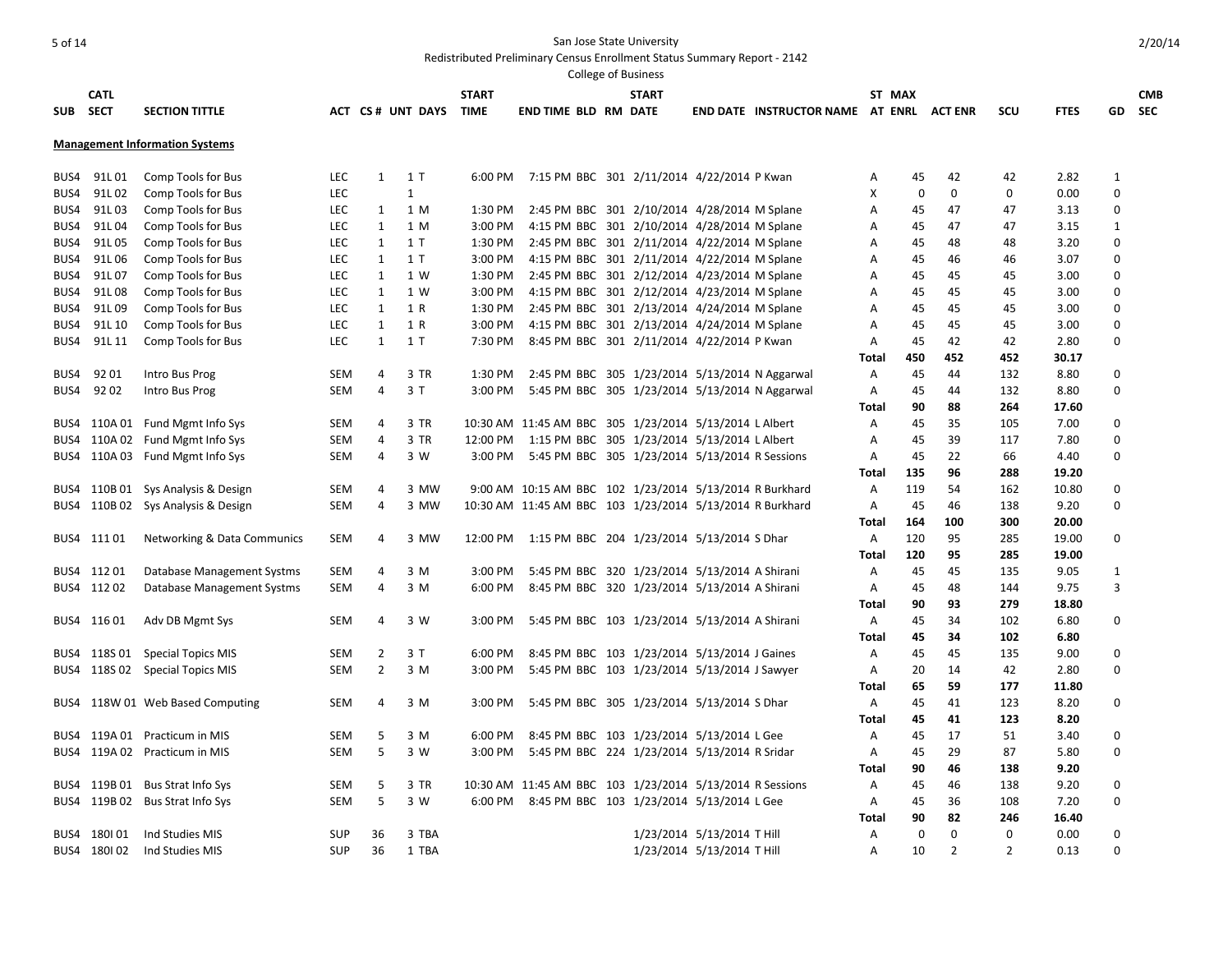|            |              |                                       |            |                |                  |              |                                                          | College of Business |                            |                                          |       |             |                |                |             |              |            |
|------------|--------------|---------------------------------------|------------|----------------|------------------|--------------|----------------------------------------------------------|---------------------|----------------------------|------------------------------------------|-------|-------------|----------------|----------------|-------------|--------------|------------|
|            | <b>CATL</b>  |                                       |            |                |                  | <b>START</b> |                                                          | <b>START</b>        |                            |                                          |       | ST MAX      |                |                |             |              | <b>CMB</b> |
| <b>SUB</b> | <b>SECT</b>  | <b>SECTION TITTLE</b>                 |            |                | ACT CS# UNT DAYS | TIME         | <b>END TIME BLD RM DATE</b>                              |                     |                            | END DATE INSTRUCTOR NAME AT ENRL ACT ENR |       |             |                | <b>SCU</b>     | <b>FTES</b> | GD           | <b>SEC</b> |
|            |              |                                       |            |                |                  |              |                                                          |                     |                            |                                          |       |             |                |                |             |              |            |
|            |              | <b>Management Information Systems</b> |            |                |                  |              |                                                          |                     |                            |                                          |       |             |                |                |             |              |            |
|            | BUS4 91L01   | Comp Tools for Bus                    | <b>LEC</b> | $\mathbf{1}$   | 1 T              | 6:00 PM      | 7:15 PM BBC 301 2/11/2014 4/22/2014 P Kwan               |                     |                            |                                          | Α     | 45          | 42             | 42             | 2.82        | 1            |            |
| BUS4       | 91L 02       | Comp Tools for Bus                    | LEC        |                | $\mathbf{1}$     |              |                                                          |                     |                            |                                          | X     | 0           | $\mathbf 0$    | $\mathbf 0$    | 0.00        | 0            |            |
| BUS4       | 91L 03       | Comp Tools for Bus                    | <b>LEC</b> | 1              | 1 M              | 1:30 PM      | 2:45 PM BBC 301 2/10/2014 4/28/2014 M Splane             |                     |                            |                                          | A     | 45          | 47             | 47             | 3.13        | $\mathbf 0$  |            |
|            | BUS4 91L04   | Comp Tools for Bus                    | LEC.       | $\mathbf{1}$   | 1 M              | 3:00 PM      | 4:15 PM BBC 301 2/10/2014 4/28/2014 M Splane             |                     |                            |                                          | A     | 45          | 47             | 47             | 3.15        | $\mathbf{1}$ |            |
| BUS4       | 91L05        | Comp Tools for Bus                    | <b>LEC</b> | $\mathbf{1}$   | 1T               | 1:30 PM      | 2:45 PM BBC 301 2/11/2014 4/22/2014 M Splane             |                     |                            |                                          | Α     | 45          | 48             | 48             | 3.20        | $\Omega$     |            |
|            | BUS4 91L06   | Comp Tools for Bus                    | <b>LEC</b> | $\mathbf{1}$   | 1T               | 3:00 PM      | 4:15 PM BBC 301 2/11/2014 4/22/2014 M Splane             |                     |                            |                                          | A     | 45          | 46             | 46             | 3.07        | $\Omega$     |            |
| BUS4       | 91L07        | Comp Tools for Bus                    | <b>LEC</b> | 1              | 1 W              | 1:30 PM      | 2:45 PM BBC 301 2/12/2014 4/23/2014 M Splane             |                     |                            |                                          | A     | 45          | 45             | 45             | 3.00        | $\mathbf 0$  |            |
|            | BUS4 91L08   | Comp Tools for Bus                    | <b>LEC</b> | 1              | 1 W              | 3:00 PM      | 4:15 PM BBC 301 2/12/2014 4/23/2014 M Splane             |                     |                            |                                          | A     | 45          | 45             | 45             | 3.00        | $\Omega$     |            |
| BUS4       | 91L 09       | Comp Tools for Bus                    | LEC        | $\mathbf{1}$   | 1 R              | 1:30 PM      | 2:45 PM BBC 301 2/13/2014 4/24/2014 M Splane             |                     |                            |                                          | Α     | 45          | 45             | 45             | 3.00        | 0            |            |
|            | BUS4 91L10   | Comp Tools for Bus                    | LEC        | $\mathbf{1}$   | 1 R              | 3:00 PM      | 4:15 PM BBC 301 2/13/2014 4/24/2014 M Splane             |                     |                            |                                          | Α     | 45          | 45             | 45             | 3.00        | $\mathbf 0$  |            |
| BUS4       | 91L 11       | Comp Tools for Bus                    | LEC        | 1              | 1 T              | 7:30 PM      | 8:45 PM BBC 301 2/11/2014 4/22/2014 P Kwan               |                     |                            |                                          | A     | 45          | 42             | 42             | 2.80        | $\Omega$     |            |
|            |              |                                       |            |                |                  |              |                                                          |                     |                            |                                          | Total | 450         | 452            | 452            | 30.17       |              |            |
| BUS4       | 9201         | Intro Bus Prog                        | SEM        | 4              | 3 TR             | 1:30 PM      | 2:45 PM BBC 305 1/23/2014 5/13/2014 N Aggarwal           |                     |                            |                                          | A     | 45          | 44             | 132            | 8.80        | $\Omega$     |            |
| BUS4       | 9202         | Intro Bus Prog                        | SEM        | 4              | 3T               | 3:00 PM      | 5:45 PM BBC 305 1/23/2014 5/13/2014 N Aggarwal           |                     |                            |                                          | Α     | 45          | 44             | 132            | 8.80        | $\Omega$     |            |
|            |              |                                       |            |                |                  |              |                                                          |                     |                            |                                          | Total | 90          | 88             | 264            | 17.60       |              |            |
|            |              | BUS4 110A 01 Fund Mgmt Info Sys       | SEM        | 4              | 3 TR             |              | 10:30 AM 11:45 AM BBC 305 1/23/2014 5/13/2014 L Albert   |                     |                            |                                          | A     | 45          | 35             | 105            | 7.00        | $\mathbf 0$  |            |
|            |              | BUS4 110A 02 Fund Mgmt Info Sys       | SEM        | 4              | 3 TR             | 12:00 PM     | 1:15 PM BBC 305 1/23/2014 5/13/2014 LAlbert              |                     |                            |                                          | Α     | 45          | 39             | 117            | 7.80        | 0            |            |
|            |              | BUS4 110A 03 Fund Mgmt Info Sys       | SEM        | 4              | 3 W              | 3:00 PM      | 5:45 PM BBC 305 1/23/2014 5/13/2014 R Sessions           |                     |                            |                                          | Α     | 45          | 22             | 66             | 4.40        | 0            |            |
|            |              |                                       |            |                |                  |              |                                                          |                     |                            |                                          | Total | 135         | 96             | 288            | 19.20       |              |            |
|            |              | BUS4 110B 01 Sys Analysis & Design    | SEM        | $\overline{4}$ | 3 MW             |              | 9:00 AM 10:15 AM BBC 102 1/23/2014 5/13/2014 R Burkhard  |                     |                            |                                          | A     | 119         | 54             | 162            | 10.80       | $\Omega$     |            |
|            |              | BUS4 110B 02 Sys Analysis & Design    | <b>SEM</b> | 4              | 3 MW             |              | 10:30 AM 11:45 AM BBC 103 1/23/2014 5/13/2014 R Burkhard |                     |                            |                                          | Α     | 45          | 46             | 138            | 9.20        | $\Omega$     |            |
|            |              |                                       |            |                |                  |              |                                                          |                     |                            |                                          | Total | 164         | 100            | 300            | 20.00       |              |            |
|            | BUS4 11101   | Networking & Data Communics           | <b>SEM</b> | 4              | 3 MW             |              | 12:00 PM 1:15 PM BBC 204 1/23/2014 5/13/2014 S Dhar      |                     |                            |                                          | Α     | 120         | 95             | 285            | 19.00       | $\Omega$     |            |
|            |              |                                       |            |                |                  |              |                                                          |                     |                            |                                          | Total | 120         | 95             | 285            | 19.00       |              |            |
|            | BUS4 11201   | Database Management Systms            | SEM        | 4              | 3 M              | 3:00 PM      | 5:45 PM BBC 320 1/23/2014 5/13/2014 A Shirani            |                     |                            |                                          | Α     | 45          | 45             | 135            | 9.05        | 1            |            |
|            | BUS4 11202   | Database Management Systms            | <b>SEM</b> | 4              | 3 M              | 6:00 PM      | 8:45 PM BBC 320 1/23/2014 5/13/2014 A Shirani            |                     |                            |                                          | Α     | 45          | 48             | 144            | 9.75        | 3            |            |
|            |              |                                       |            |                |                  |              |                                                          |                     |                            |                                          | Total | 90          | 93             | 279            | 18.80       |              |            |
|            | BUS4 11601   | Adv DB Mgmt Sys                       | <b>SEM</b> | $\overline{4}$ | 3 W              | 3:00 PM      | 5:45 PM BBC 103 1/23/2014 5/13/2014 A Shirani            |                     |                            |                                          | Α     | 45          | 34             | 102            | 6.80        | $\Omega$     |            |
|            |              |                                       |            |                |                  |              |                                                          |                     |                            |                                          | Total | 45          | 34             | 102            | 6.80        |              |            |
|            |              | BUS4 118S 01 Special Topics MIS       | SEM        | 2              | 3 T              | 6:00 PM      | 8:45 PM BBC 103 1/23/2014 5/13/2014 J Gaines             |                     |                            |                                          | Α     | 45          | 45             | 135            | 9.00        | 0            |            |
|            |              | BUS4 118S 02 Special Topics MIS       | SEM        | $\overline{2}$ | 3 M              | 3:00 PM      | 5:45 PM BBC 103 1/23/2014 5/13/2014 J Sawyer             |                     |                            |                                          | Α     | 20          | 14             | 42             | 2.80        | $\Omega$     |            |
|            |              |                                       |            |                |                  |              |                                                          |                     |                            |                                          | Total | 65          | 59             | 177            | 11.80       |              |            |
| BUS4       |              | 118W 01 Web Based Computing           | SEM        | $\overline{4}$ | 3 M              | 3:00 PM      | 5:45 PM BBC 305 1/23/2014 5/13/2014 S Dhar               |                     |                            |                                          | Α     | 45          | 41             | 123            | 8.20        | $\Omega$     |            |
|            |              |                                       |            |                |                  |              |                                                          |                     |                            |                                          | Total | 45          | 41             | 123            | 8.20        |              |            |
|            |              | BUS4 119A 01 Practicum in MIS         | SEM        | 5              | 3 M              | 6:00 PM      | 8:45 PM BBC 103 1/23/2014 5/13/2014 L Gee                |                     |                            |                                          | Α     | 45          | 17             | 51             | 3.40        | 0            |            |
|            |              | BUS4 119A 02 Practicum in MIS         | SEM        | 5              | 3 W              | 3:00 PM      | 5:45 PM BBC 224 1/23/2014 5/13/2014 R Sridar             |                     |                            |                                          | Α     | 45          | 29             | 87             | 5.80        | $\Omega$     |            |
|            |              |                                       |            |                |                  |              |                                                          |                     |                            |                                          | Total | 90          | 46             | 138            | 9.20        |              |            |
|            | BUS4 119B 01 | Bus Strat Info Sys                    | <b>SEM</b> | 5              | 3 TR             |              | 10:30 AM 11:45 AM BBC 103 1/23/2014 5/13/2014 R Sessions |                     |                            |                                          | Α     | 45          | 46             | 138            | 9.20        | 0            |            |
|            |              | BUS4 119B 02 Bus Strat Info Sys       | SEM        | 5              | 3 W              | 6:00 PM      | 8:45 PM BBC 103 1/23/2014 5/13/2014 L Gee                |                     |                            |                                          | A     | 45          | 36             | 108            | 7.20        | $\mathbf 0$  |            |
|            |              |                                       |            |                |                  |              |                                                          |                     |                            |                                          | Total | 90          | 82             | 246            | 16.40       |              |            |
|            | BUS4 180101  | Ind Studies MIS                       | <b>SUP</b> | 36             | 3 TBA            |              |                                                          |                     | 1/23/2014 5/13/2014 T Hill |                                          | Α     | $\mathbf 0$ | $\mathbf 0$    | $\mathbf 0$    | 0.00        | $\mathbf 0$  |            |
|            | BUS4 180102  | Ind Studies MIS                       | SUP        | 36             | 1 TBA            |              |                                                          |                     | 1/23/2014 5/13/2014 T Hill |                                          | A     | 10          | $\overline{2}$ | $\overline{2}$ | 0.13        | $\Omega$     |            |
|            |              |                                       |            |                |                  |              |                                                          |                     |                            |                                          |       |             |                |                |             |              |            |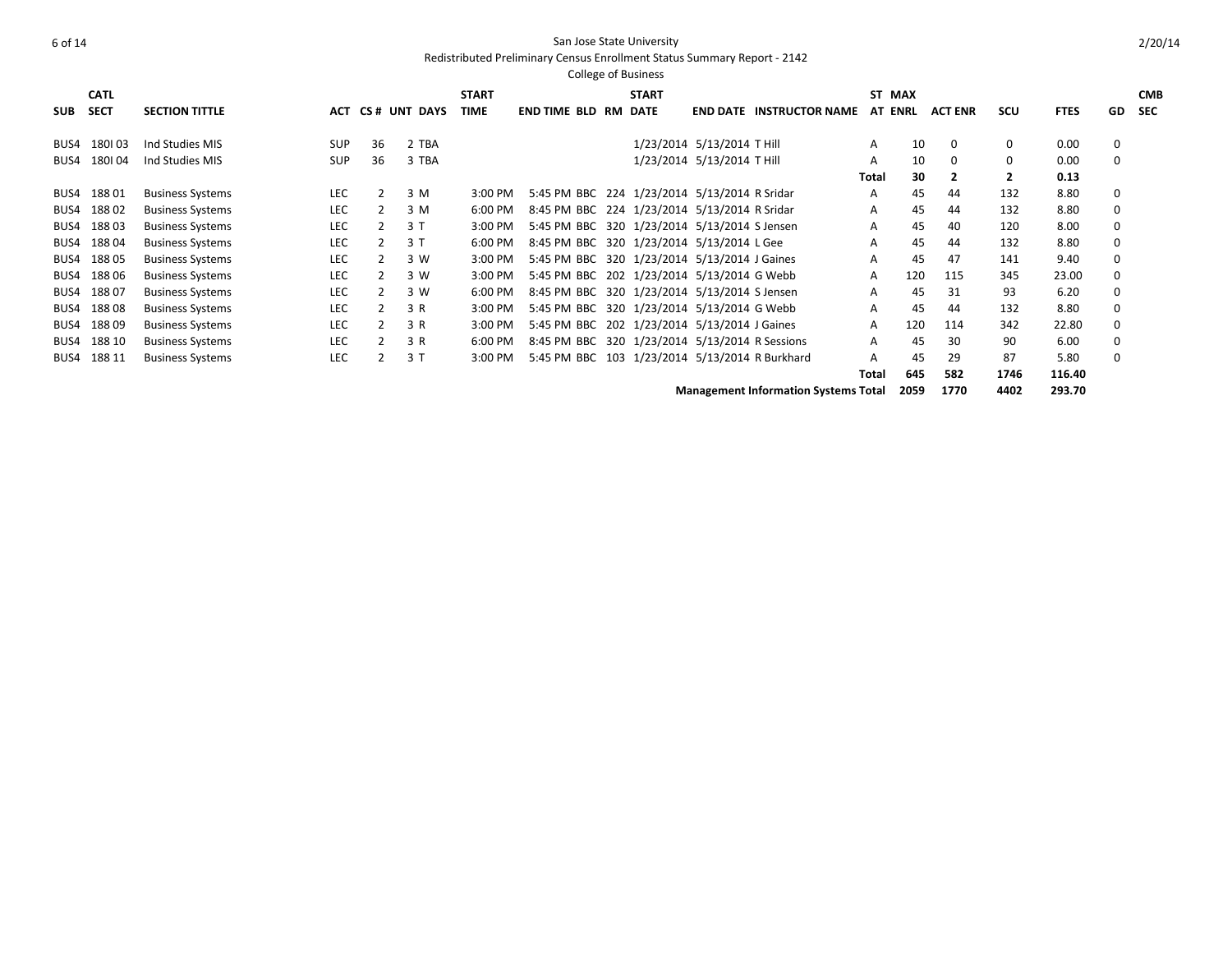Redistributed Preliminary Census Enrollment Status Summary Report - 2142

|            | <b>CATL</b> |                         |            |                |              | <b>START</b> |                                                | <b>START</b> |                            |                        |       | ST MAX         |                |              |             |           | <b>CMB</b> |
|------------|-------------|-------------------------|------------|----------------|--------------|--------------|------------------------------------------------|--------------|----------------------------|------------------------|-------|----------------|----------------|--------------|-------------|-----------|------------|
| <b>SUB</b> | <b>SECT</b> | <b>SECTION TITTLE</b>   | АСТ        |                | CS# UNT DAYS | <b>TIME</b>  | <b>END TIME BLD RM</b>                         | DATE         | <b>END DATE</b>            | <b>INSTRUCTOR NAME</b> |       | <b>AT ENRL</b> | <b>ACT ENR</b> | SCU          | <b>FTES</b> | <b>GD</b> | <b>SEC</b> |
| BUS4       | 180103      | Ind Studies MIS         | <b>SUP</b> | 36             | 2 TBA        |              |                                                |              | 1/23/2014 5/13/2014 T Hill |                        | A     | 10             | $\Omega$       | 0            | 0.00        | 0         |            |
| BUS4       | 180104      | Ind Studies MIS         | <b>SUP</b> | 36             | 3 TBA        |              |                                                |              | 1/23/2014 5/13/2014 T Hill |                        | A     | 10             | $\Omega$       | $\Omega$     | 0.00        | $\Omega$  |            |
|            |             |                         |            |                |              |              |                                                |              |                            |                        |       |                |                |              |             |           |            |
|            |             |                         |            |                |              |              |                                                |              |                            |                        | Total | 30             |                | $\mathbf{2}$ | 0.13        |           |            |
| BUS4       | 18801       | <b>Business Systems</b> | <b>LEC</b> | 2              | 3 M          | 3:00 PM      | 5:45 PM BBC 224 1/23/2014 5/13/2014 R Sridar   |              |                            |                        | A     | 45             | 44             | 132          | 8.80        | 0         |            |
| BUS4       | 18802       | <b>Business Systems</b> | <b>LEC</b> | 2              | 3 M          | 6:00 PM      | 8:45 PM BBC 224 1/23/2014 5/13/2014 R Sridar   |              |                            |                        | A     | 45             | 44             | 132          | 8.80        | $\Omega$  |            |
| BUS4       | 18803       | <b>Business Systems</b> | <b>LEC</b> | $\overline{2}$ | 3T           | 3:00 PM      | 5:45 PM BBC 320 1/23/2014 5/13/2014 S Jensen   |              |                            |                        | A     | 45             | 40             | 120          | 8.00        | $\Omega$  |            |
| BUS4       | 18804       | <b>Business Systems</b> | <b>LEC</b> | 2              | 3T           | 6:00 PM      | 8:45 PM BBC 320 1/23/2014 5/13/2014 L Gee      |              |                            |                        | A     | 45             | 44             | 132          | 8.80        | $\Omega$  |            |
| BUS4       | 18805       | <b>Business Systems</b> | <b>LEC</b> | $\overline{2}$ | 3 W          | 3:00 PM      | 5:45 PM BBC 320 1/23/2014 5/13/2014 J Gaines   |              |                            |                        | A     | 45             | 47             | 141          | 9.40        | 0         |            |
| BUS4       | 18806       | <b>Business Systems</b> | <b>LEC</b> | 2              | 3 W          | 3:00 PM      | 5:45 PM BBC 202 1/23/2014 5/13/2014 G Webb     |              |                            |                        | A     | 120            | 115            | 345          | 23.00       | 0         |            |
| BUS4       | 18807       | <b>Business Systems</b> | LEC        | $\mathbf{2}$   | 3 W          | 6:00 PM      | 8:45 PM BBC 320 1/23/2014 5/13/2014 S Jensen   |              |                            |                        | A     | 45             | 31             | 93           | 6.20        | 0         |            |
| BUS4       | 18808       | <b>Business Systems</b> | LEC        | $\mathbf{2}$   | 3 R          | 3:00 PM      | 5:45 PM BBC 320 1/23/2014 5/13/2014 G Webb     |              |                            |                        | A     | 45             | 44             | 132          | 8.80        | 0         |            |
| BUS4       | 18809       | <b>Business Systems</b> | <b>LEC</b> | 2              | 3 R          | 3:00 PM      | 5:45 PM BBC 202 1/23/2014 5/13/2014 J Gaines   |              |                            |                        | A     | 120            | 114            | 342          | 22.80       | 0         |            |
| BUS4       | 188 10      | <b>Business Systems</b> | <b>LEC</b> |                | 3 R          | 6:00 PM      | 8:45 PM BBC 320 1/23/2014 5/13/2014 R Sessions |              |                            |                        | A     | 45             | 30             | 90           | 6.00        | $\Omega$  |            |
| BUS4       | 188 11      | <b>Business Systems</b> | <b>LEC</b> |                | 3T           | 3:00 PM      | 5:45 PM BBC 103 1/23/2014 5/13/2014 R Burkhard |              |                            |                        | A     | 45             | 29             | 87           | 5.80        | $\Omega$  |            |
|            |             |                         |            |                |              |              |                                                |              |                            |                        | Total | 645            | 582            | 1746         | 116.40      |           |            |

**Management Information Systems Total 2059 1770 4402 293.70**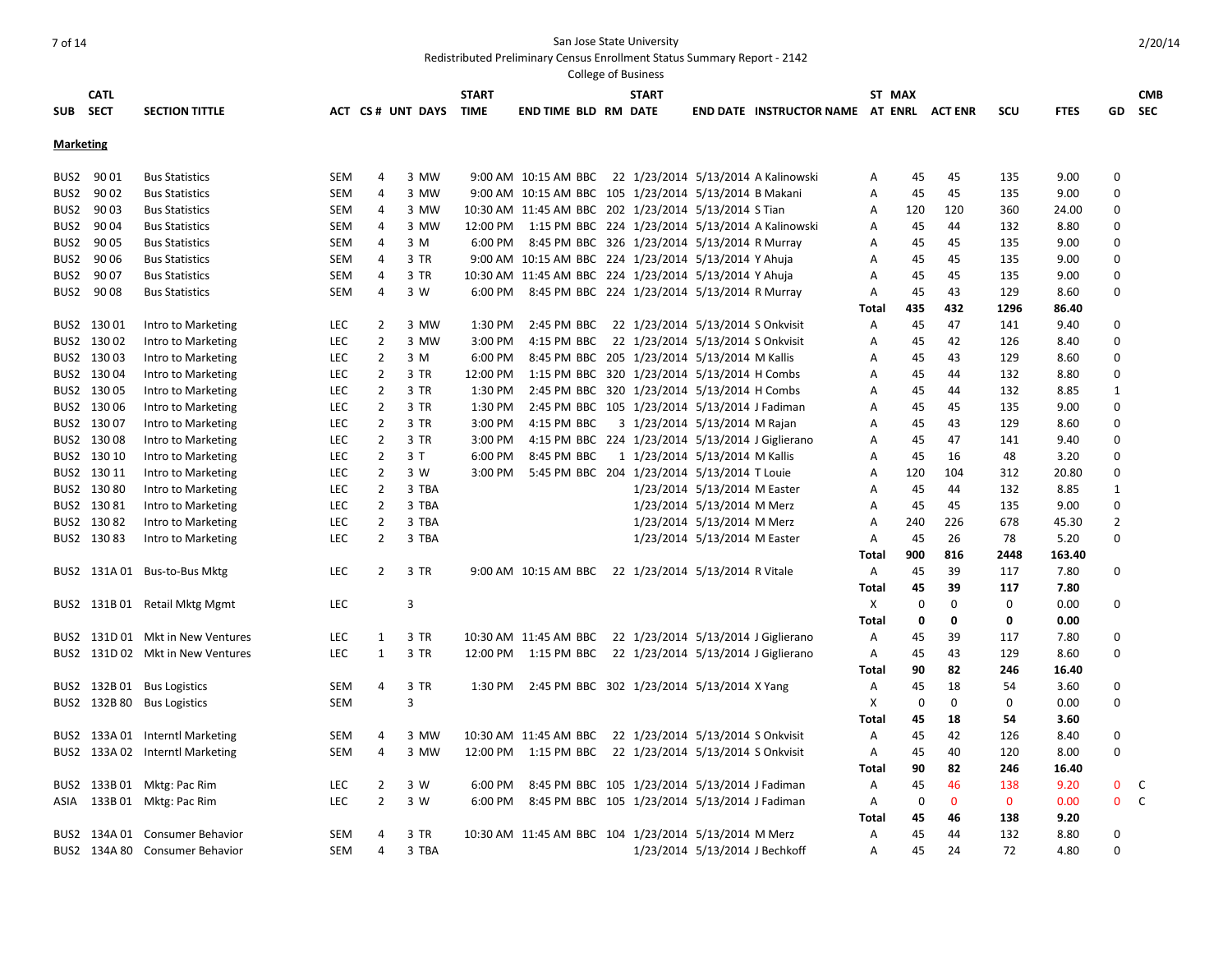|                  |             |                                  |            |                |                  |              |                                                           | College of Business            |                                |                                          |       |             |              |             |             |                  |            |
|------------------|-------------|----------------------------------|------------|----------------|------------------|--------------|-----------------------------------------------------------|--------------------------------|--------------------------------|------------------------------------------|-------|-------------|--------------|-------------|-------------|------------------|------------|
|                  | <b>CATL</b> |                                  |            |                |                  | <b>START</b> |                                                           | <b>START</b>                   |                                |                                          |       | ST MAX      |              |             |             |                  | <b>CMB</b> |
|                  | SUB SECT    | <b>SECTION TITTLE</b>            |            |                | ACT CS# UNT DAYS | TIME         | END TIME BLD RM DATE                                      |                                |                                | END DATE INSTRUCTOR NAME AT ENRL ACT ENR |       |             |              | scu         | <b>FTES</b> | GD               | <b>SEC</b> |
|                  |             |                                  |            |                |                  |              |                                                           |                                |                                |                                          |       |             |              |             |             |                  |            |
| <b>Marketing</b> |             |                                  |            |                |                  |              |                                                           |                                |                                |                                          |       |             |              |             |             |                  |            |
|                  | BUS2 90 01  | <b>Bus Statistics</b>            | SEM        | 4              | 3 MW             |              | 9:00 AM 10:15 AM BBC 22 1/23/2014 5/13/2014 A Kalinowski  |                                |                                |                                          | A     | 45          | 45           | 135         | 9.00        | 0                |            |
| BUS2             | 90 02       | <b>Bus Statistics</b>            | <b>SEM</b> | 4              | 3 MW             |              | 9:00 AM 10:15 AM BBC 105 1/23/2014 5/13/2014 B Makani     |                                |                                |                                          | Α     | 45          | 45           | 135         | 9.00        | 0                |            |
| BUS2             | 90 03       | <b>Bus Statistics</b>            | SEM        | 4              | 3 MW             |              | 10:30 AM 11:45 AM BBC 202 1/23/2014 5/13/2014 S Tian      |                                |                                |                                          | A     | 120         | 120          | 360         | 24.00       | $\mathbf 0$      |            |
|                  | BUS2 9004   | <b>Bus Statistics</b>            | SEM        | 4              | 3 MW             |              | 12:00 PM 1:15 PM BBC 224 1/23/2014 5/13/2014 A Kalinowski |                                |                                |                                          | A     | 45          | 44           | 132         | 8.80        | $\Omega$         |            |
|                  | BUS2 90 05  | <b>Bus Statistics</b>            | SEM        | 4              | 3 M              |              | 6:00 PM 8:45 PM BBC 326 1/23/2014 5/13/2014 R Murray      |                                |                                |                                          | A     | 45          | 45           | 135         | 9.00        | $\Omega$         |            |
|                  | BUS2 90 06  | <b>Bus Statistics</b>            | SEM        | 4              | 3 TR             |              | 9:00 AM 10:15 AM BBC 224 1/23/2014 5/13/2014 Y Ahuja      |                                |                                |                                          | A     | 45          | 45           | 135         | 9.00        | $\Omega$         |            |
|                  | BUS2 9007   | <b>Bus Statistics</b>            | SEM        | 4              | 3 TR             |              | 10:30 AM 11:45 AM BBC 224 1/23/2014 5/13/2014 Y Ahuja     |                                |                                |                                          | A     | 45          | 45           | 135         | 9.00        | $\Omega$         |            |
|                  | BUS2 9008   | <b>Bus Statistics</b>            | <b>SEM</b> | 4              | 3 W              |              | 6:00 PM 8:45 PM BBC 224 1/23/2014 5/13/2014 R Murray      |                                |                                |                                          | A     | 45          | 43           | 129         | 8.60        | 0                |            |
|                  |             |                                  |            |                |                  |              |                                                           |                                |                                |                                          | Total | 435         | 432          | 1296        | 86.40       |                  |            |
|                  | BUS2 130 01 | Intro to Marketing               | <b>LEC</b> | $\overline{2}$ | 3 MW             | 1:30 PM      | 2:45 PM BBC 22 1/23/2014 5/13/2014 S Onkvisit             |                                |                                |                                          | A     | 45          | 47           | 141         | 9.40        | 0                |            |
|                  | BUS2 130 02 | Intro to Marketing               | <b>LEC</b> | $\overline{2}$ | 3 MW             | 3:00 PM      | 4:15 PM BBC 22 1/23/2014 5/13/2014 S Onkvisit             |                                |                                |                                          | Α     | 45          | 42           | 126         | 8.40        | 0                |            |
|                  | BUS2 13003  | Intro to Marketing               | LEC        | $\overline{2}$ | 3 M              | 6:00 PM      | 8:45 PM BBC 205 1/23/2014 5/13/2014 M Kallis              |                                |                                |                                          | A     | 45          | 43           | 129         | 8.60        | 0                |            |
|                  | BUS2 130 04 | Intro to Marketing               | LEC        | $\overline{2}$ | 3 TR             | 12:00 PM     | 1:15 PM BBC 320 1/23/2014 5/13/2014 H Combs               |                                |                                |                                          | Α     | 45          | 44           | 132         | 8.80        | $\Omega$         |            |
|                  | BUS2 130 05 | Intro to Marketing               | <b>LEC</b> | $\overline{2}$ | 3 TR             | 1:30 PM      | 2:45 PM BBC 320 1/23/2014 5/13/2014 H Combs               |                                |                                |                                          | A     | 45          | 44           | 132         | 8.85        | $\mathbf{1}$     |            |
|                  | BUS2 130 06 | Intro to Marketing               | <b>LEC</b> | $\overline{2}$ | 3 TR             | 1:30 PM      | 2:45 PM BBC 105 1/23/2014 5/13/2014 J Fadiman             |                                |                                |                                          | A     | 45          | 45           | 135         | 9.00        | $\Omega$         |            |
|                  | BUS2 130 07 | Intro to Marketing               | <b>LEC</b> | 2              | 3 TR             | 3:00 PM      | 4:15 PM BBC                                               | 3 1/23/2014 5/13/2014 M Rajan  |                                |                                          | A     | 45          | 43           | 129         | 8.60        | 0                |            |
|                  | BUS2 130 08 | Intro to Marketing               | LEC        | 2              | 3 TR             | 3:00 PM      | 4:15 PM BBC 224 1/23/2014 5/13/2014 J Giglierano          |                                |                                |                                          | Α     | 45          | 47           | 141         | 9.40        | 0                |            |
|                  | BUS2 130 10 | Intro to Marketing               | <b>LEC</b> | $\overline{2}$ | 3 T              | 6:00 PM      | 8:45 PM BBC                                               | 1 1/23/2014 5/13/2014 M Kallis |                                |                                          | A     | 45          | 16           | 48          | 3.20        | 0                |            |
|                  | BUS2 130 11 | Intro to Marketing               | <b>LEC</b> | $\overline{2}$ | 3 W              | 3:00 PM      | 5:45 PM BBC 204 1/23/2014 5/13/2014 T Louie               |                                |                                |                                          | A     | 120         | 104          | 312         | 20.80       | 0                |            |
|                  | BUS2 130 80 | Intro to Marketing               | LEC        | $\overline{2}$ | 3 TBA            |              |                                                           |                                | 1/23/2014 5/13/2014 M Easter   |                                          | A     | 45          | 44           | 132         | 8.85        | 1                |            |
|                  | BUS2 130 81 | Intro to Marketing               | <b>LEC</b> | $\overline{2}$ | 3 TBA            |              |                                                           |                                | 1/23/2014 5/13/2014 M Merz     |                                          | A     | 45          | 45           | 135         | 9.00        | 0                |            |
|                  | BUS2 130 82 | Intro to Marketing               | <b>LEC</b> | $\overline{2}$ | 3 TBA            |              |                                                           |                                | 1/23/2014 5/13/2014 M Merz     |                                          | A     | 240         | 226          | 678         | 45.30       | $\overline{2}$   |            |
|                  | BUS2 130 83 | Intro to Marketing               | <b>LEC</b> | $\overline{2}$ | 3 TBA            |              |                                                           |                                | 1/23/2014 5/13/2014 M Easter   |                                          | Α     | 45          | 26           | 78          | 5.20        | $\Omega$         |            |
|                  |             |                                  |            |                |                  |              |                                                           |                                |                                |                                          | Total | 900         | 816          | 2448        | 163.40      |                  |            |
|                  |             | BUS2 131A 01 Bus-to-Bus Mktg     | LEC        | $\overline{2}$ | 3 TR             |              | 9:00 AM 10:15 AM BBC 22 1/23/2014 5/13/2014 R Vitale      |                                |                                |                                          | Α     | 45          | 39           | 117         | 7.80        | 0                |            |
|                  |             |                                  |            |                |                  |              |                                                           |                                |                                |                                          | Total | 45          | 39           | 117         | 7.80        |                  |            |
|                  |             | BUS2 131B 01 Retail Mktg Mgmt    | <b>LEC</b> |                | 3                |              |                                                           |                                |                                |                                          | X     | $\mathbf 0$ | $\mathbf 0$  | $\mathbf 0$ | 0.00        | $\boldsymbol{0}$ |            |
|                  |             |                                  |            |                |                  |              |                                                           |                                |                                |                                          | Total | 0           | 0            | 0           | 0.00        |                  |            |
|                  |             | BUS2 131D 01 Mkt in New Ventures | <b>LEC</b> | $\mathbf{1}$   | 3 TR             |              | 10:30 AM 11:45 AM BBC 22 1/23/2014 5/13/2014 J Giglierano |                                |                                |                                          | A     | 45          | 39           | 117         | 7.80        | 0                |            |
|                  |             | BUS2 131D 02 Mkt in New Ventures | <b>LEC</b> | $\mathbf{1}$   | 3 TR             |              | 12:00 PM 1:15 PM BBC 22 1/23/2014 5/13/2014 J Giglierano  |                                |                                |                                          | Α     | 45          | 43           | 129         | 8.60        | $\boldsymbol{0}$ |            |
|                  |             |                                  |            |                |                  |              |                                                           |                                |                                |                                          | Total | 90          | 82           | 246         | 16.40       |                  |            |
|                  |             | BUS2 132B 01 Bus Logistics       | SEM        | 4              | 3 TR             | 1:30 PM      | 2:45 PM BBC 302 1/23/2014 5/13/2014 X Yang                |                                |                                |                                          | A     | 45          | 18           | 54          | 3.60        | 0                |            |
|                  |             | BUS2 132B 80 Bus Logistics       | <b>SEM</b> |                | 3                |              |                                                           |                                |                                |                                          | Х     | $\mathbf 0$ | $\Omega$     | $\Omega$    | 0.00        | $\Omega$         |            |
|                  |             |                                  |            |                |                  |              |                                                           |                                |                                |                                          | Total | 45          | 18           | 54          | 3.60        |                  |            |
|                  |             | BUS2 133A 01 Interntl Marketing  | SEM        | 4              | 3 MW             |              | 10:30 AM 11:45 AM BBC 22 1/23/2014 5/13/2014 S Onkvisit   |                                |                                |                                          | Α     | 45          | 42           | 126         | 8.40        | 0                |            |
|                  |             | BUS2 133A 02 Interntl Marketing  | <b>SEM</b> | $\overline{4}$ | 3 MW             |              | 12:00 PM 1:15 PM BBC 22 1/23/2014 5/13/2014 S Onkvisit    |                                |                                |                                          | A     | 45          | 40           | 120         | 8.00        | $\Omega$         |            |
|                  |             |                                  |            |                |                  |              |                                                           |                                |                                |                                          | Total | 90          | 82           | 246         | 16.40       |                  |            |
|                  |             | BUS2 133B 01 Mktg: Pac Rim       | <b>LEC</b> | $\overline{2}$ | 3 W              | 6:00 PM      | 8:45 PM BBC 105 1/23/2014 5/13/2014 J Fadiman             |                                |                                |                                          | Α     | 45          | 46           | 138         | 9.20        | 0                | C          |
|                  |             | ASIA 133B 01 Mktg: Pac Rim       | LEC        | $\overline{2}$ | 3 W              | 6:00 PM      | 8:45 PM BBC 105 1/23/2014 5/13/2014 J Fadiman             |                                |                                |                                          | A     | 0           | $\mathbf{0}$ | $\mathbf 0$ | 0.00        | $\mathbf{0}$     | C          |
|                  |             |                                  |            |                |                  |              |                                                           |                                |                                |                                          | Total | 45          | 46           | 138         | 9.20        |                  |            |
|                  |             | BUS2 134A 01 Consumer Behavior   | <b>SEM</b> | 4              | 3 TR             |              | 10:30 AM 11:45 AM BBC 104 1/23/2014 5/13/2014 M Merz      |                                |                                |                                          | A     | 45          | 44           | 132         | 8.80        | 0                |            |
|                  |             | BUS2 134A 80 Consumer Behavior   | <b>SEM</b> | 4              | 3 TBA            |              |                                                           |                                | 1/23/2014 5/13/2014 J Bechkoff |                                          | Α     | 45          | 24           | 72          | 4.80        | $\Omega$         |            |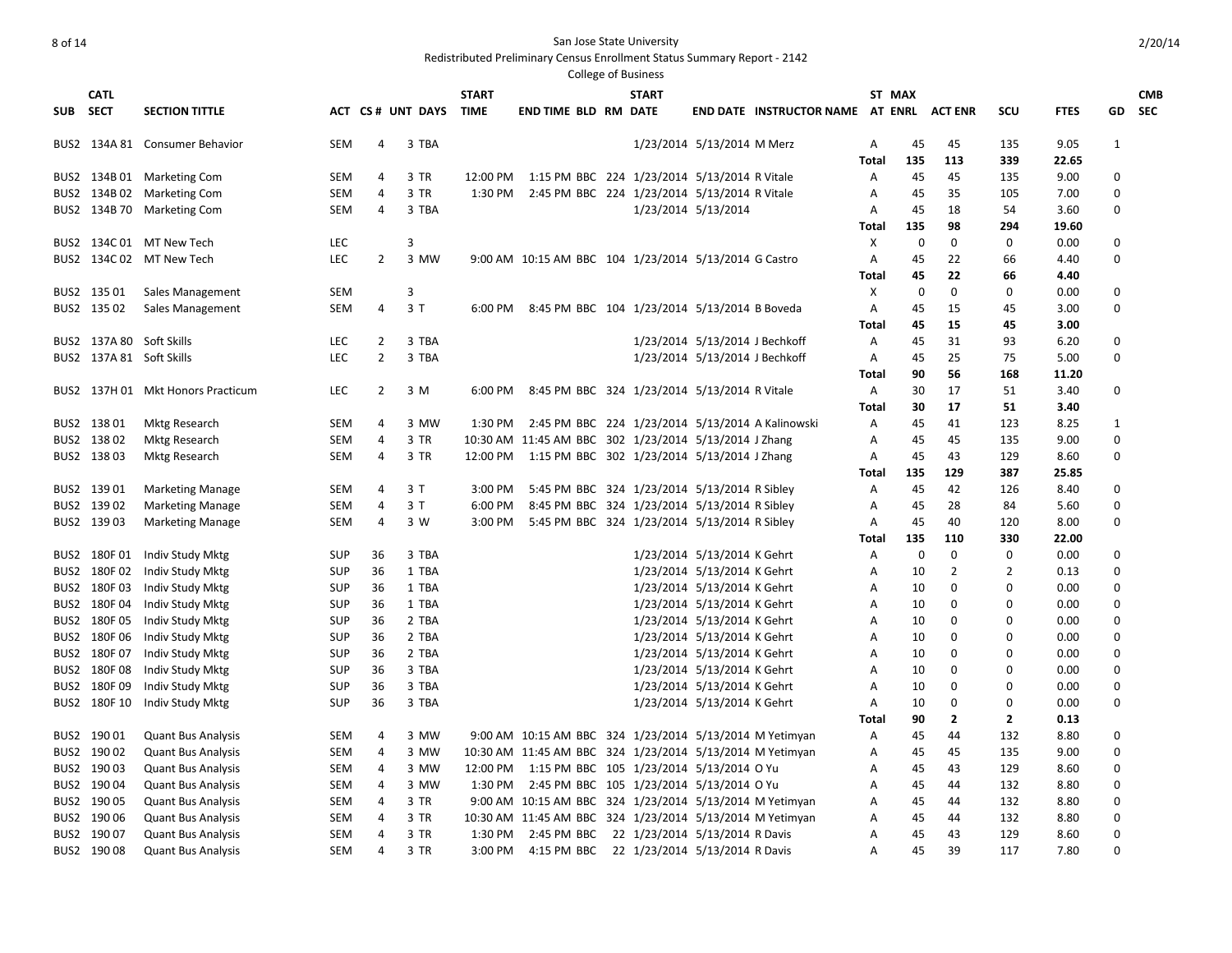Redistributed Preliminary Census Enrollment Status Summary Report - 2142

| <b>CATL</b>              |                                   |            |                |                   | <b>START</b> |                                                          | <b>START</b> |                                |                                         |       | ST MAX      |                |                |             |                  | <b>CMB</b> |
|--------------------------|-----------------------------------|------------|----------------|-------------------|--------------|----------------------------------------------------------|--------------|--------------------------------|-----------------------------------------|-------|-------------|----------------|----------------|-------------|------------------|------------|
| SUB SECT                 | <b>SECTION TITTLE</b>             |            |                | ACT CS # UNT DAYS | TIME         | <b>END TIME BLD RM DATE</b>                              |              |                                | <b>END DATE INSTRUCTOR NAME AT ENRL</b> |       |             | <b>ACT ENR</b> | scu            | <b>FTES</b> | GD               | <b>SEC</b> |
|                          | BUS2 134A 81 Consumer Behavior    | <b>SEM</b> | 4              | 3 TBA             |              |                                                          |              | 1/23/2014 5/13/2014 M Merz     |                                         | A     | 45          | 45             | 135            | 9.05        | 1                |            |
|                          |                                   |            |                |                   |              |                                                          |              |                                |                                         | Total | 135         | 113            | 339            | 22.65       |                  |            |
|                          | BUS2 134B 01 Marketing Com        | SEM        | 4              | 3 TR              | 12:00 PM     | 1:15 PM BBC 224 1/23/2014 5/13/2014 R Vitale             |              |                                |                                         | Α     | 45          | 45             | 135            | 9.00        | $\Omega$         |            |
|                          | BUS2 134B 02 Marketing Com        | <b>SEM</b> | 4              | 3 TR              | 1:30 PM      | 2:45 PM BBC 224 1/23/2014 5/13/2014 R Vitale             |              |                                |                                         | A     | 45          | 35             | 105            | 7.00        | $\Omega$         |            |
|                          | BUS2 134B 70 Marketing Com        | SEM        | 4              | 3 TBA             |              |                                                          |              | 1/23/2014 5/13/2014            |                                         | A     | 45          | 18             | 54             | 3.60        | $\mathbf 0$      |            |
|                          |                                   |            |                |                   |              |                                                          |              |                                |                                         | Total | 135         | 98             | 294            | 19.60       |                  |            |
|                          | BUS2 134C 01 MT New Tech          | <b>LEC</b> |                | 3                 |              |                                                          |              |                                |                                         | Χ     | 0           | $\mathbf 0$    | $\mathbf 0$    | 0.00        | 0                |            |
|                          | BUS2 134C 02 MT New Tech          | <b>LEC</b> | $\overline{2}$ | 3 MW              |              | 9:00 AM 10:15 AM BBC 104 1/23/2014 5/13/2014 G Castro    |              |                                |                                         | Α     | 45          | 22             | 66             | 4.40        | $\boldsymbol{0}$ |            |
|                          |                                   |            |                |                   |              |                                                          |              |                                |                                         | Total | 45          | 22             | 66             | 4.40        |                  |            |
| BUS2 135 01              | Sales Management                  | <b>SEM</b> |                | 3                 |              |                                                          |              |                                |                                         | х     | 0           | $\mathbf 0$    | 0              | 0.00        | 0                |            |
| BUS2 135 02              | Sales Management                  | <b>SEM</b> | 4              | 3T                | 6:00 PM      | 8:45 PM BBC 104 1/23/2014 5/13/2014 B Boveda             |              |                                |                                         | A     | 45          | 15             | 45             | 3.00        | $\Omega$         |            |
|                          |                                   |            |                |                   |              |                                                          |              |                                |                                         | Total | 45          | 15             | 45             | 3.00        |                  |            |
| BUS2 137A 80 Soft Skills |                                   | <b>LEC</b> | $\overline{2}$ | 3 TBA             |              |                                                          |              | 1/23/2014 5/13/2014 J Bechkoff |                                         | A     | 45          | 31             | 93             | 6.20        | 0                |            |
| BUS2 137A 81 Soft Skills |                                   | <b>LEC</b> | $\overline{2}$ | 3 TBA             |              |                                                          |              | 1/23/2014 5/13/2014 J Bechkoff |                                         | Α     | 45          | 25             | 75             | 5.00        | $\Omega$         |            |
|                          |                                   |            |                |                   |              |                                                          |              |                                |                                         | Total | 90          | 56             | 168            | 11.20       |                  |            |
|                          | BUS2 137H 01 Mkt Honors Practicum | <b>LEC</b> | $\overline{2}$ | 3 M               | 6:00 PM      | 8:45 PM BBC 324 1/23/2014 5/13/2014 R Vitale             |              |                                |                                         | A     | 30          | 17             | 51             | 3.40        | 0                |            |
|                          |                                   |            |                |                   |              |                                                          |              |                                |                                         | Total | 30          | 17             | 51             | 3.40        |                  |            |
| BUS2 138 01              | <b>Mktg Research</b>              | SEM        | 4              | 3 MW              | 1:30 PM      | 2:45 PM BBC 224 1/23/2014 5/13/2014 A Kalinowski         |              |                                |                                         | A     | 45          | 41             | 123            | 8.25        | $\mathbf{1}$     |            |
| BUS2 138 02              | <b>Mktg Research</b>              | SEM        | 4              | 3 TR              |              | 10:30 AM 11:45 AM BBC 302 1/23/2014 5/13/2014 J Zhang    |              |                                |                                         | Α     | 45          | 45             | 135            | 9.00        | 0                |            |
| BUS2 138 03              | Mktg Research                     | SEM        | 4              | 3 TR              |              | 12:00 PM 1:15 PM BBC 302 1/23/2014 5/13/2014 J Zhang     |              |                                |                                         | A     | 45          | 43             | 129            | 8.60        | $\mathbf 0$      |            |
|                          |                                   |            |                |                   |              |                                                          |              |                                |                                         | Total | 135         | 129            | 387            | 25.85       |                  |            |
| BUS2 139 01              | <b>Marketing Manage</b>           | SEM        | 4              | 3 T               | 3:00 PM      | 5:45 PM BBC 324 1/23/2014 5/13/2014 R Sibley             |              |                                |                                         | Α     | 45          | 42             | 126            | 8.40        | 0                |            |
| BUS2 139 02              | <b>Marketing Manage</b>           | <b>SEM</b> | 4              | 3T                | 6:00 PM      | 8:45 PM BBC 324 1/23/2014 5/13/2014 R Sibley             |              |                                |                                         | A     | 45          | 28             | 84             | 5.60        | 0                |            |
| BUS2 139 03              | <b>Marketing Manage</b>           | SEM        | 4              | 3 W               | 3:00 PM      | 5:45 PM BBC 324 1/23/2014 5/13/2014 R Sibley             |              |                                |                                         | Α     | 45          | 40             | 120            | 8.00        | $\Omega$         |            |
|                          |                                   |            |                |                   |              |                                                          |              |                                |                                         | Total | 135         | 110            | 330            | 22.00       |                  |            |
| BUS2 180F01              | Indiv Study Mktg                  | <b>SUP</b> | 36             | 3 TBA             |              |                                                          |              | 1/23/2014 5/13/2014 K Gehrt    |                                         | A     | $\mathbf 0$ | $\mathbf 0$    | $\mathbf 0$    | 0.00        | 0                |            |
| BUS2 180F02              | Indiv Study Mktg                  | <b>SUP</b> | 36             | 1 TBA             |              |                                                          |              | 1/23/2014 5/13/2014 K Gehrt    |                                         | Α     | 10          | $\overline{2}$ | 2              | 0.13        | 0                |            |
| BUS2 180F03              | Indiv Study Mktg                  | <b>SUP</b> | 36             | 1 TBA             |              |                                                          |              | 1/23/2014 5/13/2014 K Gehrt    |                                         | Α     | 10          | $\mathbf 0$    | $\mathbf 0$    | 0.00        | 0                |            |
| BUS2 180F04              | Indiv Study Mktg                  | <b>SUP</b> | 36             | 1 TBA             |              |                                                          |              | 1/23/2014 5/13/2014 K Gehrt    |                                         | Α     | 10          | 0              | $\mathbf 0$    | 0.00        | $\boldsymbol{0}$ |            |
| BUS2 180F 05             | Indiv Study Mktg                  | <b>SUP</b> | 36             | 2 TBA             |              |                                                          |              | 1/23/2014 5/13/2014 K Gehrt    |                                         | Α     | 10          | $\Omega$       | $\Omega$       | 0.00        | $\Omega$         |            |
| BUS2 180F06              | Indiv Study Mktg                  | <b>SUP</b> | 36             | 2 TBA             |              |                                                          |              | 1/23/2014 5/13/2014 K Gehrt    |                                         | A     | 10          | 0              | $\Omega$       | 0.00        | 0                |            |
| BUS2 180F 07             | Indiv Study Mktg                  | <b>SUP</b> | 36             | 2 TBA             |              |                                                          |              | 1/23/2014 5/13/2014 K Gehrt    |                                         | A     | 10          | 0              | 0              | 0.00        | $\Omega$         |            |
| BUS2 180F08              | Indiv Study Mktg                  | <b>SUP</b> | 36             | 3 TBA             |              |                                                          |              | 1/23/2014 5/13/2014 K Gehrt    |                                         | A     | 10          | $\mathbf 0$    | $\Omega$       | 0.00        | 0                |            |
| BUS2 180F09              | Indiv Study Mktg                  | <b>SUP</b> | 36             | 3 TBA             |              |                                                          |              | 1/23/2014 5/13/2014 K Gehrt    |                                         | Α     | 10          | 0              | 0              | 0.00        | $\boldsymbol{0}$ |            |
| BUS2 180F 10             | Indiv Study Mktg                  | <b>SUP</b> | 36             | 3 TBA             |              |                                                          |              | 1/23/2014 5/13/2014 K Gehrt    |                                         | Α     | 10          | $\Omega$       | $\Omega$       | 0.00        | $\Omega$         |            |
|                          |                                   |            |                |                   |              |                                                          |              |                                |                                         | Total | 90          | $\overline{2}$ | $\overline{2}$ | 0.13        |                  |            |
| BUS2 190 01              | <b>Quant Bus Analysis</b>         | <b>SEM</b> | 4              | 3 MW              |              | 9:00 AM 10:15 AM BBC 324 1/23/2014 5/13/2014 M Yetimyan  |              |                                |                                         | A     | 45          | 44             | 132            | 8.80        | 0                |            |
| BUS2 190 02              | <b>Quant Bus Analysis</b>         | SEM        | 4              | 3 MW              |              | 10:30 AM 11:45 AM BBC 324 1/23/2014 5/13/2014 M Yetimyan |              |                                |                                         | A     | 45          | 45             | 135            | 9.00        | $\Omega$         |            |
| BUS2 190 03              | <b>Quant Bus Analysis</b>         | SEM        | 4              | 3 MW              |              | 12:00 PM 1:15 PM BBC 105 1/23/2014 5/13/2014 O Yu        |              |                                |                                         | Α     | 45          | 43             | 129            | 8.60        | 0                |            |
| BUS2 190 04              | <b>Quant Bus Analysis</b>         | <b>SEM</b> | 4              | 3 MW              |              | 1:30 PM 2:45 PM BBC 105 1/23/2014 5/13/2014 O Yu         |              |                                |                                         | Α     | 45          | 44             | 132            | 8.80        | 0                |            |
| BUS2 190 05              | <b>Quant Bus Analysis</b>         | SEM        | 4              | 3 TR              |              | 9:00 AM 10:15 AM BBC 324 1/23/2014 5/13/2014 M Yetimyan  |              |                                |                                         | A     | 45          | 44             | 132            | 8.80        | $\mathbf 0$      |            |
| BUS2 190 06              | <b>Quant Bus Analysis</b>         | <b>SEM</b> | 4              | 3 TR              |              | 10:30 AM 11:45 AM BBC 324 1/23/2014 5/13/2014 M Yetimyan |              |                                |                                         | A     | 45          | 44             | 132            | 8.80        | $\Omega$         |            |
| BUS2 190 07              | <b>Quant Bus Analysis</b>         | <b>SEM</b> | 4              | 3 TR              |              | 1:30 PM 2:45 PM BBC 22 1/23/2014 5/13/2014 R Davis       |              |                                |                                         | A     | 45          | 43             | 129            | 8.60        | $\Omega$         |            |
| BUS2 190 08              | Quant Bus Analysis                | <b>SEM</b> | 4              | 3 TR              | 3:00 PM      | 4:15 PM BBC 22 1/23/2014 5/13/2014 R Davis               |              |                                |                                         | A     | 45          | 39             | 117            | 7.80        | $\Omega$         |            |
|                          |                                   |            |                |                   |              |                                                          |              |                                |                                         |       |             |                |                |             |                  |            |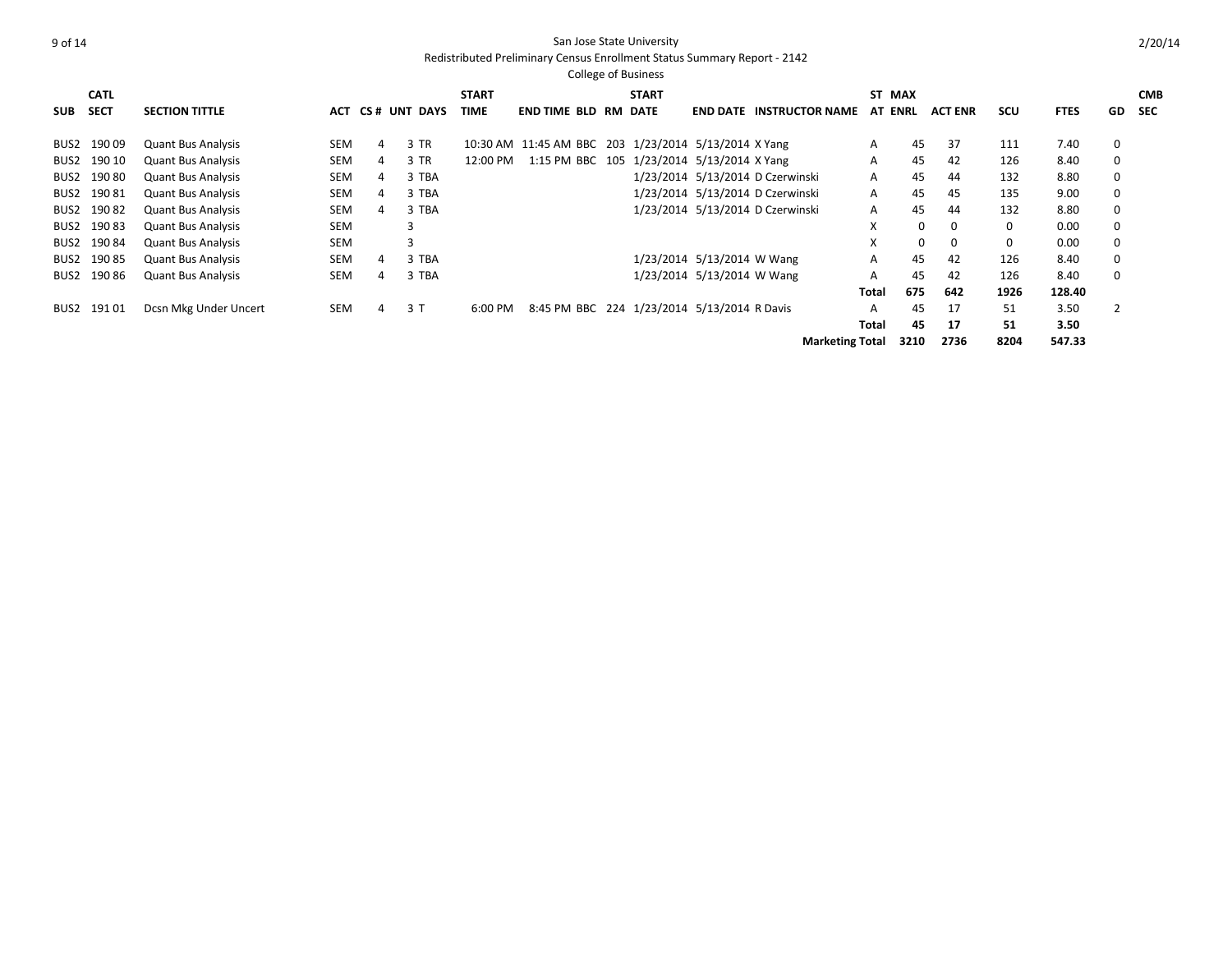|      |             |                           |            |   |                  |              |                                                      | <b>College of Business</b> |                            |                                  |                |      |                |            |             |                |            |
|------|-------------|---------------------------|------------|---|------------------|--------------|------------------------------------------------------|----------------------------|----------------------------|----------------------------------|----------------|------|----------------|------------|-------------|----------------|------------|
|      | <b>CATL</b> |                           |            |   |                  | <b>START</b> |                                                      | <b>START</b>               |                            |                                  | ST MAX         |      |                |            |             |                | <b>CMB</b> |
| SUB  | <b>SECT</b> | <b>SECTION TITTLE</b>     |            |   | ACT CS# UNT DAYS | TIME         | <b>END TIME BLD RM DATE</b>                          |                            |                            | <b>END DATE INSTRUCTOR NAME</b>  | <b>AT ENRL</b> |      | <b>ACT ENR</b> | <b>SCU</b> | <b>FTES</b> | GD             | <b>SEC</b> |
|      | 19009       |                           | <b>SEM</b> | 4 | 3 TR             |              |                                                      |                            |                            |                                  |                | 45   | 37             | 111        | 7.40        |                |            |
| BUS2 |             | <b>Quant Bus Analysis</b> |            |   |                  |              | 10:30 AM 11:45 AM BBC 203 1/23/2014 5/13/2014 X Yang |                            |                            |                                  | A              |      |                |            |             | 0              |            |
| BUS2 | 190 10      | <b>Quant Bus Analysis</b> | <b>SEM</b> | 4 | 3 TR             | 12:00 PM     | 1:15 PM BBC 105 1/23/2014 5/13/2014 X Yang           |                            |                            |                                  | A              | 45   | 42             | 126        | 8.40        | 0              |            |
| BUS2 | 190 80      | <b>Quant Bus Analysis</b> | SEM        | 4 | 3 TBA            |              |                                                      |                            |                            | 1/23/2014 5/13/2014 D Czerwinski | A              | 45   | 44             | 132        | 8.80        | 0              |            |
|      | BUS2 190 81 | <b>Quant Bus Analysis</b> | SEM        | 4 | 3 TBA            |              |                                                      |                            |                            | 1/23/2014 5/13/2014 D Czerwinski | A              | 45   | 45             | 135        | 9.00        | $\mathbf 0$    |            |
| BUS2 | 19082       | <b>Quant Bus Analysis</b> | <b>SEM</b> | 4 | 3 TBA            |              |                                                      |                            |                            | 1/23/2014 5/13/2014 D Czerwinski | A              | 45   | 44             | 132        | 8.80        | $\mathbf 0$    |            |
| BUS2 | 19083       | <b>Quant Bus Analysis</b> | <b>SEM</b> |   | 3                |              |                                                      |                            |                            |                                  | X              | 0    | 0              | 0          | 0.00        | 0              |            |
| BUS2 | 19084       | <b>Quant Bus Analysis</b> | <b>SEM</b> |   | 3                |              |                                                      |                            |                            |                                  | X              | 0    | $\mathbf 0$    | 0          | 0.00        | $\mathbf 0$    |            |
| BUS2 | 190 85      | <b>Quant Bus Analysis</b> | SEM        | 4 | 3 TBA            |              |                                                      |                            | 1/23/2014 5/13/2014 W Wang |                                  | A              | 45   | 42             | 126        | 8.40        | 0              |            |
|      | BUS2 190 86 | <b>Quant Bus Analysis</b> | SEM        | 4 | 3 TBA            |              |                                                      |                            | 1/23/2014 5/13/2014 W Wang |                                  | A              | 45   | 42             | 126        | 8.40        | $\mathbf 0$    |            |
|      |             |                           |            |   |                  |              |                                                      |                            |                            |                                  | Total          | 675  | 642            | 1926       | 128.40      |                |            |
| BUS2 | 19101       | Dcsn Mkg Under Uncert     | SEM        | 4 | 3T               | 6:00 PM      | 8:45 PM BBC 224 1/23/2014 5/13/2014 R Davis          |                            |                            |                                  | А              | 45   | 17             | 51         | 3.50        | $\overline{2}$ |            |
|      |             |                           |            |   |                  |              |                                                      |                            |                            |                                  | Total          | 45   | 17             | 51         | 3.50        |                |            |
|      |             |                           |            |   |                  |              |                                                      |                            |                            | <b>Marketing Total</b>           |                | 3210 | 2736           | 8204       | 547.33      |                |            |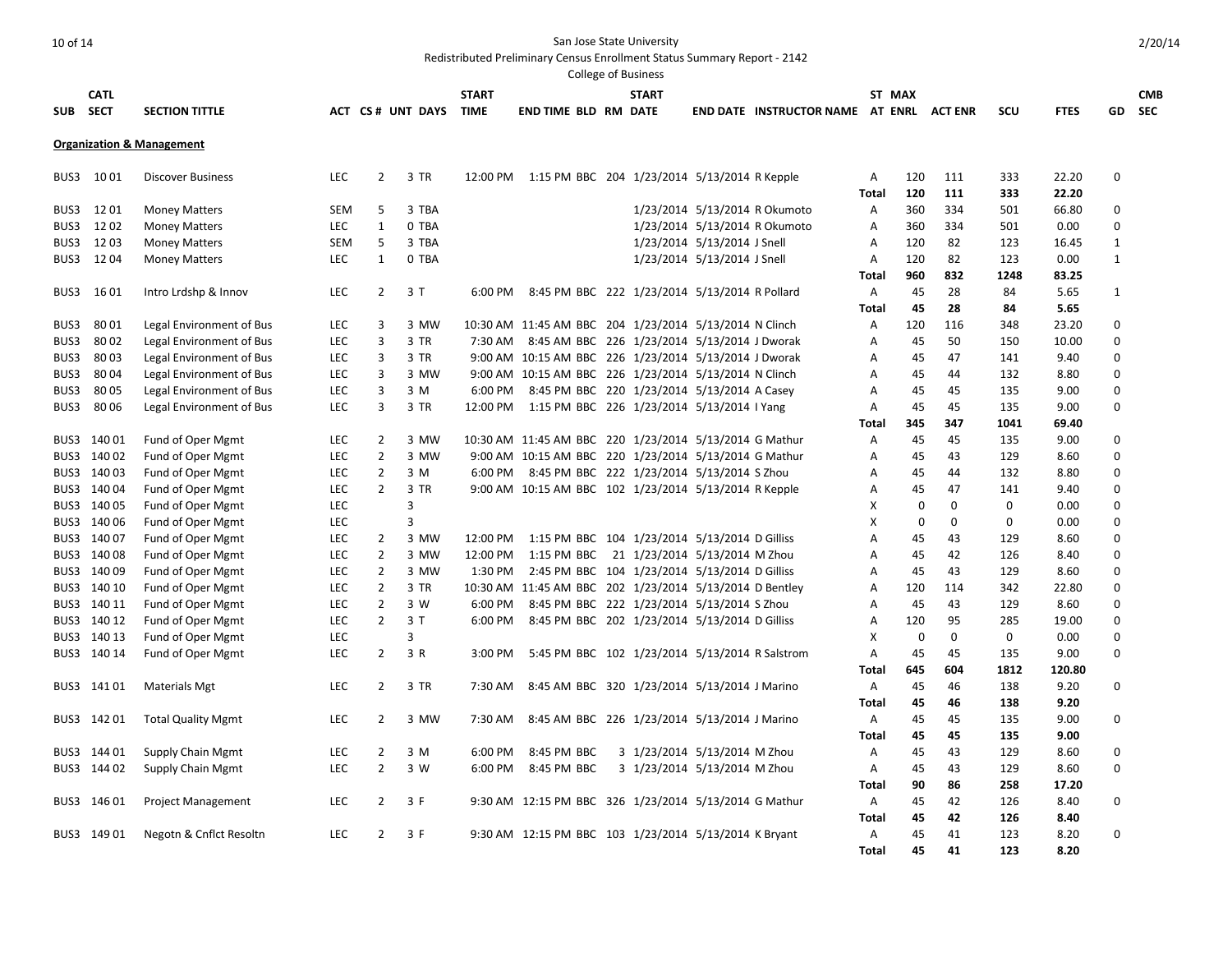|            |             |                                      |            |                |                      |              |                                                         | <b>College of Business</b> |                              |                                          |                |          |             |      |             |              |            |
|------------|-------------|--------------------------------------|------------|----------------|----------------------|--------------|---------------------------------------------------------|----------------------------|------------------------------|------------------------------------------|----------------|----------|-------------|------|-------------|--------------|------------|
|            | <b>CATL</b> |                                      |            |                |                      | <b>START</b> |                                                         | <b>START</b>               |                              |                                          |                | ST MAX   |             |      |             |              | <b>CMB</b> |
| <b>SUB</b> | <b>SECT</b> | <b>SECTION TITTLE</b>                |            |                | ACT CS# UNT DAYS     | <b>TIME</b>  | <b>END TIME BLD RM DATE</b>                             |                            |                              | END DATE INSTRUCTOR NAME AT ENRL ACT ENR |                |          |             | SCU  | <b>FTES</b> | GD           | <b>SEC</b> |
|            |             | <b>Organization &amp; Management</b> |            |                |                      |              |                                                         |                            |                              |                                          |                |          |             |      |             |              |            |
|            |             |                                      |            |                |                      |              |                                                         |                            |                              |                                          |                |          |             |      |             |              |            |
|            | BUS3 1001   | <b>Discover Business</b>             | <b>LEC</b> | $\overline{2}$ | 3 TR                 |              | 12:00 PM 1:15 PM BBC 204 1/23/2014 5/13/2014 R Kepple   |                            |                              |                                          | Α              | 120      | 111         | 333  | 22.20       | 0            |            |
|            |             |                                      |            |                |                      |              |                                                         |                            |                              |                                          | Total          | 120      | 111         | 333  | 22.20       |              |            |
| BUS3       | 1201        | <b>Money Matters</b>                 | <b>SEM</b> | 5              | 3 TBA                |              |                                                         |                            |                              | 1/23/2014 5/13/2014 R Okumoto            | Α              | 360      | 334         | 501  | 66.80       | 0            |            |
| BUS3       | 1202        | <b>Money Matters</b>                 | <b>LEC</b> | $\mathbf{1}$   | 0 TBA                |              |                                                         |                            |                              | 1/23/2014 5/13/2014 R Okumoto            | A              | 360      | 334         | 501  | 0.00        | $\mathbf 0$  |            |
| BUS3       | 1203        | <b>Money Matters</b>                 | <b>SEM</b> | 5              | 3 TBA                |              |                                                         |                            | 1/23/2014 5/13/2014 J Snell  |                                          | A              | 120      | 82          | 123  | 16.45       | 1            |            |
| BUS3       | 1204        | <b>Money Matters</b>                 | LEC        | $\mathbf{1}$   | 0 TBA                |              |                                                         |                            | 1/23/2014 5/13/2014 J Snell  |                                          | Α              | 120      | 82          | 123  | 0.00        | $\mathbf{1}$ |            |
|            |             |                                      |            |                |                      |              |                                                         |                            |                              |                                          | Total          | 960      | 832         | 1248 | 83.25       |              |            |
| BUS3       | 16 01       | Intro Lrdshp & Innov                 | LEC        |                | $\overline{2}$<br>3T | 6:00 PM      | 8:45 PM BBC 222 1/23/2014 5/13/2014 R Pollard           |                            |                              |                                          | Α              | 45       | 28          | 84   | 5.65        | $\mathbf{1}$ |            |
|            |             |                                      |            |                |                      |              |                                                         |                            |                              |                                          | Total          | 45       | 28          | 84   | 5.65        |              |            |
| BUS3       | 8001        | Legal Environment of Bus             | LEC        | 3              | 3 MW                 |              | 10:30 AM 11:45 AM BBC 204 1/23/2014 5/13/2014 N Clinch  |                            |                              |                                          | Α              | 120      | 116         | 348  | 23.20       | 0            |            |
| BUS3       | 8002        | Legal Environment of Bus             | <b>LEC</b> | 3              | 3 TR                 |              | 7:30 AM 8:45 AM BBC 226 1/23/2014 5/13/2014 J Dworak    |                            |                              |                                          | A              | 45       | 50          | 150  | 10.00       | $\Omega$     |            |
| BUS3       | 8003        | Legal Environment of Bus             | LEC        | 3              | 3 TR                 |              | 9:00 AM 10:15 AM BBC 226 1/23/2014 5/13/2014 J Dworak   |                            |                              |                                          | Α              | 45       | 47          | 141  | 9.40        | 0            |            |
| BUS3       | 8004        | Legal Environment of Bus             | <b>LEC</b> | 3              | 3 MW                 |              | 9:00 AM 10:15 AM BBC 226 1/23/2014 5/13/2014 N Clinch   |                            |                              |                                          | A              | 45       | 44          | 132  | 8.80        | 0            |            |
| BUS3       | 8005        | Legal Environment of Bus             | LEC        | 3              | 3 M                  | 6:00 PM      | 8:45 PM BBC 220 1/23/2014 5/13/2014 A Casey             |                            |                              |                                          | Α              | 45       | 45          | 135  | 9.00        | 0            |            |
| BUS3       | 8006        | Legal Environment of Bus             | LEC        | 3              | 3 TR                 |              | 12:00 PM 1:15 PM BBC 226 1/23/2014 5/13/2014 I Yang     |                            |                              |                                          | Α              | 45       | 45          | 135  | 9.00        | $\Omega$     |            |
|            |             |                                      |            |                |                      |              |                                                         |                            |                              |                                          | Total          | 345      | 347         | 1041 | 69.40       |              |            |
| BUS3       | 140 01      | Fund of Oper Mgmt                    | <b>LEC</b> | 2              | 3 MW                 |              | 10:30 AM 11:45 AM BBC 220 1/23/2014 5/13/2014 G Mathur  |                            |                              |                                          | A              | 45       | 45          | 135  | 9.00        | 0            |            |
|            | BUS3 140 02 | Fund of Oper Mgmt                    | LEC        | $\overline{2}$ | 3 MW                 |              | 9:00 AM 10:15 AM BBC 220 1/23/2014 5/13/2014 G Mathur   |                            |                              |                                          | Α              | 45       | 43          | 129  | 8.60        | $\Omega$     |            |
|            | BUS3 140 03 | Fund of Oper Mgmt                    | LEC        | $\overline{2}$ | 3 M                  | 6:00 PM      | 8:45 PM BBC 222 1/23/2014 5/13/2014 S Zhou              |                            |                              |                                          | Α              | 45       | 44          | 132  | 8.80        | 0            |            |
|            | BUS3 140 04 | Fund of Oper Mgmt                    | LEC        | $\overline{2}$ | 3 TR                 |              | 9:00 AM 10:15 AM BBC 102 1/23/2014 5/13/2014 R Kepple   |                            |                              |                                          | Α              | 45       | 47          | 141  | 9.40        | $\Omega$     |            |
|            | BUS3 140 05 | Fund of Oper Mgmt                    | <b>LEC</b> |                | 3                    |              |                                                         |                            |                              |                                          | X              | $\Omega$ | $\mathbf 0$ | 0    | 0.00        | $\Omega$     |            |
|            | BUS3 140 06 | Fund of Oper Mgmt                    | LEC        |                | 3                    |              |                                                         |                            |                              |                                          | х              | 0        | $\mathbf 0$ | 0    | 0.00        | $\Omega$     |            |
|            | BUS3 140 07 | Fund of Oper Mgmt                    | <b>LEC</b> | $\overline{2}$ | 3 MW                 | 12:00 PM     | 1:15 PM BBC 104 1/23/2014 5/13/2014 D Gilliss           |                            |                              |                                          | $\overline{A}$ | 45       | 43          | 129  | 8.60        | $\Omega$     |            |
|            | BUS3 140 08 | Fund of Oper Mgmt                    | LEC        | $\overline{2}$ | 3 MW                 | 12:00 PM     | 1:15 PM BBC 21 1/23/2014 5/13/2014 M Zhou               |                            |                              |                                          | Α              | 45       | 42          | 126  | 8.40        | $\Omega$     |            |
|            | BUS3 140 09 | Fund of Oper Mgmt                    | <b>LEC</b> | $\overline{2}$ | 3 MW                 | 1:30 PM      | 2:45 PM BBC 104 1/23/2014 5/13/2014 D Gilliss           |                            |                              |                                          | $\overline{A}$ | 45       | 43          | 129  | 8.60        | O            |            |
|            | BUS3 140 10 | Fund of Oper Mgmt                    | <b>LEC</b> | $\overline{2}$ | 3 TR                 |              | 10:30 AM 11:45 AM BBC 202 1/23/2014 5/13/2014 D Bentley |                            |                              |                                          | Α              | 120      | 114         | 342  | 22.80       | $\Omega$     |            |
|            | BUS3 140 11 | Fund of Oper Mgmt                    | LEC        | $\overline{2}$ | 3 W                  | 6:00 PM      | 8:45 PM BBC 222 1/23/2014 5/13/2014 S Zhou              |                            |                              |                                          | Α              | 45       | 43          | 129  | 8.60        | 0            |            |
|            | BUS3 140 12 | Fund of Oper Mgmt                    | LEC        | $\overline{2}$ | 3T                   | 6:00 PM      | 8:45 PM BBC 202 1/23/2014 5/13/2014 D Gilliss           |                            |                              |                                          | A              | 120      | 95          | 285  | 19.00       | $\Omega$     |            |
|            | BUS3 140 13 | Fund of Oper Mgmt                    | <b>LEC</b> |                | 3                    |              |                                                         |                            |                              |                                          | X              | $\Omega$ | $\Omega$    | 0    | 0.00        | $\Omega$     |            |
|            | BUS3 140 14 | Fund of Oper Mgmt                    | LEC        | $\overline{2}$ | 3 R                  | 3:00 PM      | 5:45 PM BBC 102 1/23/2014 5/13/2014 R Salstrom          |                            |                              |                                          | Α              | 45       | 45          | 135  | 9.00        | 0            |            |
|            |             |                                      |            |                |                      |              |                                                         |                            |                              |                                          | Total          | 645      | 604         | 1812 | 120.80      |              |            |
|            | BUS3 141 01 | <b>Materials Mgt</b>                 | LEC        | $\overline{2}$ | 3 TR                 | 7:30 AM      | 8:45 AM BBC 320 1/23/2014 5/13/2014 J Marino            |                            |                              |                                          | Α              | 45       | 46          | 138  | 9.20        | 0            |            |
|            |             |                                      |            |                |                      |              |                                                         |                            |                              |                                          | Total          | 45       | 46          | 138  | 9.20        |              |            |
|            | BUS3 142 01 | <b>Total Quality Mgmt</b>            | LEC        | $\overline{2}$ | 3 MW                 | 7:30 AM      | 8:45 AM BBC 226 1/23/2014 5/13/2014 J Marino            |                            |                              |                                          | A              | 45       | 45          | 135  | 9.00        | $\mathbf 0$  |            |
|            |             |                                      |            |                |                      |              |                                                         |                            |                              |                                          | Total          | 45       | 45          | 135  | 9.00        |              |            |
|            | BUS3 144 01 | Supply Chain Mgmt                    | LEC        | 2              | 3 M                  | 6:00 PM      | 8:45 PM BBC                                             |                            | 3 1/23/2014 5/13/2014 M Zhou |                                          | Α              | 45       | 43          | 129  | 8.60        | 0            |            |
|            | BUS3 144 02 | Supply Chain Mgmt                    | <b>LEC</b> | $\overline{2}$ | 3 W                  | 6:00 PM      | 8:45 PM BBC                                             |                            | 3 1/23/2014 5/13/2014 M Zhou |                                          | Α              | 45       | 43          | 129  | 8.60        | 0            |            |
|            |             |                                      |            |                |                      |              |                                                         |                            |                              |                                          | Total          | 90       | 86          | 258  | 17.20       |              |            |
| BUS3       | 146 01      | <b>Project Management</b>            | LEC        | $\overline{2}$ | 3 F                  |              | 9:30 AM 12:15 PM BBC 326 1/23/2014 5/13/2014 G Mathur   |                            |                              |                                          | Α              | 45       | 42          | 126  | 8.40        | 0            |            |
|            |             |                                      |            |                |                      |              |                                                         |                            |                              |                                          | Total          | 45       | 42          | 126  | 8.40        |              |            |
|            | BUS3 149 01 | Negotn & Cnflct Resoltn              | <b>LEC</b> | $\overline{2}$ | 3 F                  |              | 9:30 AM 12:15 PM BBC 103 1/23/2014 5/13/2014 K Bryant   |                            |                              |                                          | $\mathsf{A}$   | 45       | 41          | 123  | 8.20        | $\Omega$     |            |
|            |             |                                      |            |                |                      |              |                                                         |                            |                              |                                          | Total          | 45       | 41          | 123  | 8.20        |              |            |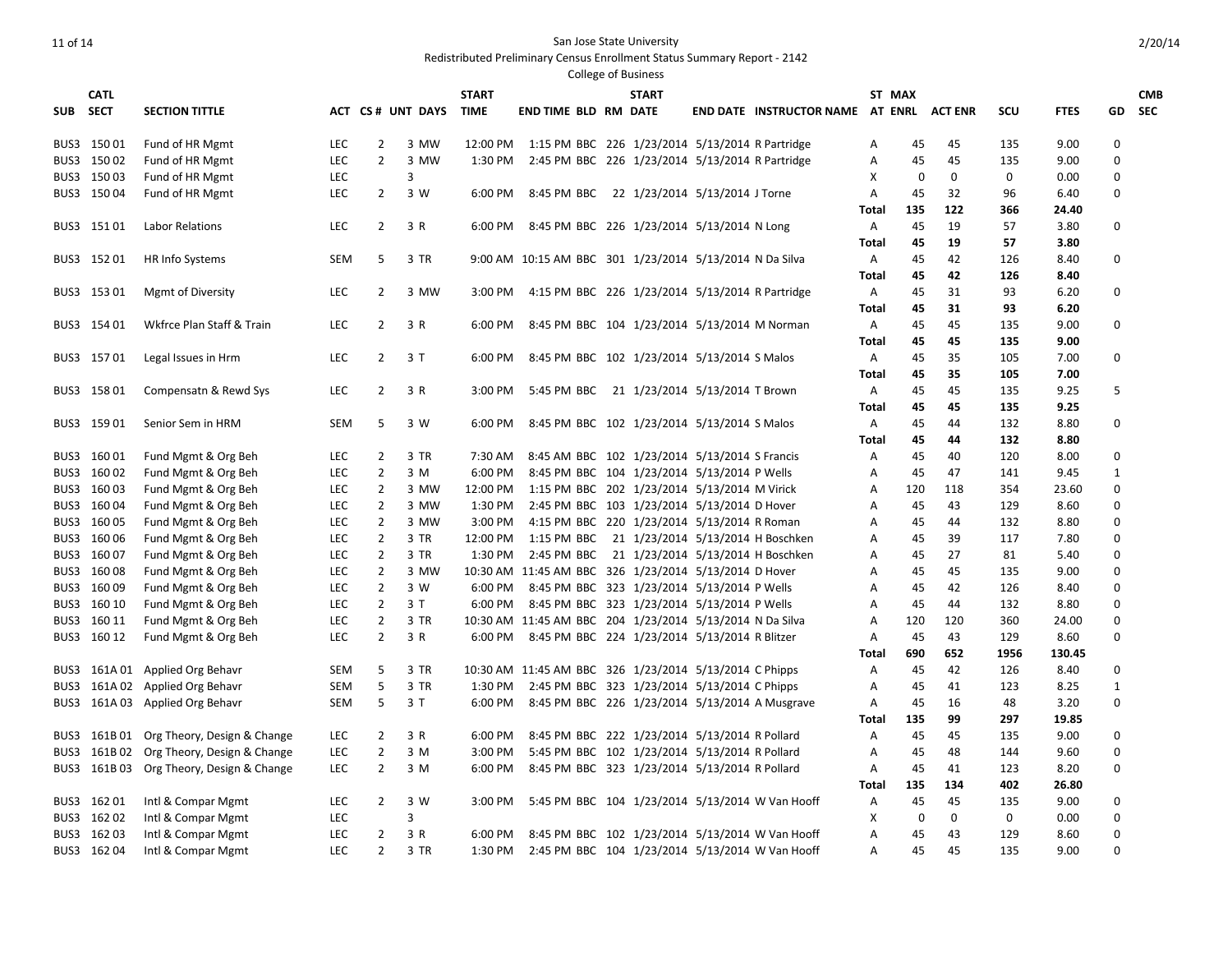# Redistributed Preliminary Census Enrollment Status Summary Report - 2142 College of Business

| <b>CATL</b>                |                                            |            |                                  |                  | <b>START</b> |                                                                                                           | <b>START</b> |                                                 |                | ST MAX    |             |            |               |                      | <b>CMB</b> |
|----------------------------|--------------------------------------------|------------|----------------------------------|------------------|--------------|-----------------------------------------------------------------------------------------------------------|--------------|-------------------------------------------------|----------------|-----------|-------------|------------|---------------|----------------------|------------|
| SUB SECT                   | <b>SECTION TITTLE</b>                      |            |                                  | ACT CS# UNT DAYS | <b>TIME</b>  | <b>END TIME BLD RM DATE</b>                                                                               |              | END DATE INSTRUCTOR NAME AT ENRL ACT ENR        |                |           |             | scu        | <b>FTES</b>   | GD                   | <b>SEC</b> |
| BUS3 150 01                | Fund of HR Mgmt                            | <b>LEC</b> | $\overline{2}$                   | 3 MW             |              | 12:00 PM 1:15 PM BBC 226 1/23/2014 5/13/2014 R Partridge                                                  |              |                                                 | A              | 45        | 45          | 135        | 9.00          | $\Omega$             |            |
| BUS3 150 02                | Fund of HR Mgmt                            | LEC        | $\overline{2}$                   | 3 MW             | 1:30 PM      | 2:45 PM BBC 226 1/23/2014 5/13/2014 R Partridge                                                           |              |                                                 | Α              | 45        | 45          | 135        | 9.00          | $\mathbf 0$          |            |
| BUS3 15003                 | Fund of HR Mgmt                            | <b>LEC</b> |                                  | 3                |              |                                                                                                           |              |                                                 | X              | 0         | $\mathbf 0$ | 0          | 0.00          | 0                    |            |
| BUS3 150 04                | Fund of HR Mgmt                            | LEC        | $\overline{2}$                   | 3 W              | 6:00 PM      | 8:45 PM BBC 22 1/23/2014 5/13/2014 J Torne                                                                |              |                                                 | A              | 45        | 32          | 96         | 6.40          | 0                    |            |
|                            |                                            |            |                                  |                  |              |                                                                                                           |              |                                                 | Total          | 135       | 122         | 366        | 24.40         |                      |            |
| BUS3 15101                 | Labor Relations                            | <b>LEC</b> | $\overline{2}$                   | 3 R              |              | 6:00 PM 8:45 PM BBC 226 1/23/2014 5/13/2014 N Long                                                        |              |                                                 | Α              | 45        | 19          | 57         | 3.80          | $\Omega$             |            |
|                            |                                            |            |                                  |                  |              |                                                                                                           |              |                                                 | Total          | 45        | 19          | 57         | 3.80          |                      |            |
| BUS3 15201                 | <b>HR Info Systems</b>                     | <b>SEM</b> | 5                                | 3 TR             |              | 9:00 AM 10:15 AM BBC 301 1/23/2014 5/13/2014 N Da Silva                                                   |              |                                                 | A              | 45        | 42          | 126        | 8.40          | $\mathbf 0$          |            |
|                            |                                            |            |                                  |                  |              |                                                                                                           |              |                                                 | Total          | 45        | 42          | 126        | 8.40          |                      |            |
| BUS3 153 01                | <b>Mgmt of Diversity</b>                   | LEC        | $\overline{2}$                   | 3 MW             | 3:00 PM      | 4:15 PM BBC 226 1/23/2014 5/13/2014 R Partridge                                                           |              |                                                 | Α              | 45        | 31          | 93         | 6.20          | 0                    |            |
|                            |                                            |            |                                  |                  |              |                                                                                                           |              |                                                 | Total          | 45        | 31          | 93         | 6.20          |                      |            |
| BUS3 154 01                | Wkfrce Plan Staff & Train                  | LEC        | $\overline{2}$                   | 3 R              | 6:00 PM      | 8:45 PM BBC 104 1/23/2014 5/13/2014 M Norman                                                              |              |                                                 | Α              | 45        | 45          | 135        | 9.00          | $\mathbf 0$          |            |
|                            |                                            |            |                                  |                  |              |                                                                                                           |              |                                                 | Total          | 45        | 45          | 135        | 9.00          |                      |            |
| BUS3 15701                 | Legal Issues in Hrm                        | LEC        | 2                                | 3 T              | 6:00 PM      | 8:45 PM BBC 102 1/23/2014 5/13/2014 S Malos                                                               |              |                                                 | Α              | 45        | 35          | 105        | 7.00          | 0                    |            |
|                            |                                            |            |                                  |                  |              |                                                                                                           |              |                                                 | Total          | 45        | 35          | 105        | 7.00          |                      |            |
| BUS3 158 01                | Compensatn & Rewd Sys                      | <b>LEC</b> | $\overline{2}$                   | 3 R              | 3:00 PM      | 5:45 PM BBC 21 1/23/2014 5/13/2014 T Brown                                                                |              |                                                 | Α              | 45        | 45          | 135        | 9.25          | 5                    |            |
|                            |                                            |            |                                  |                  |              |                                                                                                           |              |                                                 | <b>Total</b>   | 45        | 45          | 135        | 9.25          |                      |            |
| BUS3 159 01                | Senior Sem in HRM                          | <b>SEM</b> | 5                                | 3 W              | 6:00 PM      | 8:45 PM BBC 102 1/23/2014 5/13/2014 S Malos                                                               |              |                                                 | A              | 45        | 44          | 132        | 8.80          | $\mathbf 0$          |            |
|                            |                                            |            |                                  |                  |              |                                                                                                           |              |                                                 | Total          | 45        | 44          | 132        | 8.80          |                      |            |
| BUS3 160 01                | Fund Mgmt & Org Beh                        | <b>LEC</b> | $\overline{2}$                   | 3 TR             | 7:30 AM      | 8:45 AM BBC 102 1/23/2014 5/13/2014 S Francis                                                             |              |                                                 | Α              | 45        | 40          | 120        | 8.00          | 0                    |            |
| BUS3 160 02                | Fund Mgmt & Org Beh                        | <b>LEC</b> | $\overline{2}$                   | 3 M              | 6:00 PM      | 8:45 PM BBC 104 1/23/2014 5/13/2014 P Wells                                                               |              |                                                 | A              | 45        | 47          | 141        | 9.45          | $\mathbf{1}$         |            |
| BUS3 160 03                | Fund Mgmt & Org Beh                        | LEC        | $\overline{2}$                   | 3 MW             | 12:00 PM     | 1:15 PM BBC 202 1/23/2014 5/13/2014 M Virick                                                              |              |                                                 | Α              | 120       | 118         | 354        | 23.60         | $\Omega$             |            |
| BUS3 160 04                | Fund Mgmt & Org Beh                        | LEC        | $\overline{2}$                   | 3 MW             | 1:30 PM      | 2:45 PM BBC 103 1/23/2014 5/13/2014 D Hover                                                               |              |                                                 | A              | 45        | 43          | 129        | 8.60          | $\Omega$             |            |
| BUS3 160 05                | Fund Mgmt & Org Beh                        | LEC        | 2                                | 3 MW             | 3:00 PM      | 4:15 PM BBC 220 1/23/2014 5/13/2014 R Roman                                                               |              |                                                 | A              | 45        | 44          | 132        | 8.80          | $\Omega$             |            |
| BUS3 160 06                | Fund Mgmt & Org Beh                        | LEC        | $\overline{2}$                   | 3 TR             | 12:00 PM     | 1:15 PM BBC 21 1/23/2014 5/13/2014 H Boschken                                                             |              |                                                 | Α              | 45        | 39          | 117        | 7.80          | $\Omega$             |            |
| BUS3 160 07                | Fund Mgmt & Org Beh                        | <b>LEC</b> | $\overline{2}$                   | 3 TR             | 1:30 PM      | 2:45 PM BBC 21 1/23/2014 5/13/2014 H Boschken                                                             |              |                                                 | A              | 45        | 27          | 81         | 5.40          | $\Omega$             |            |
| BUS3 16008                 | Fund Mgmt & Org Beh                        | LEC        | $\overline{2}$                   | 3 MW             |              | 10:30 AM 11:45 AM BBC 326 1/23/2014 5/13/2014 D Hover                                                     |              |                                                 | Α              | 45        | 45          | 135        | 9.00          | $\mathbf 0$          |            |
| BUS3 160 09                | Fund Mgmt & Org Beh                        | LEC        | $\overline{2}$<br>$\overline{2}$ | 3 W<br>3T        | 6:00 PM      | 8:45 PM BBC 323 1/23/2014 5/13/2014 P Wells                                                               |              |                                                 | A              | 45        | 42          | 126<br>132 | 8.40          | $\Omega$<br>$\Omega$ |            |
| BUS3 160 10                | Fund Mgmt & Org Beh                        | <b>LEC</b> | $\overline{2}$                   |                  | 6:00 PM      | 8:45 PM BBC 323 1/23/2014 5/13/2014 P Wells                                                               |              |                                                 | A              | 45        | 44          |            | 8.80          | $\Omega$             |            |
| BUS3 160 11<br>BUS3 160 12 | Fund Mgmt & Org Beh<br>Fund Mgmt & Org Beh | LEC<br>LEC | $\overline{2}$                   | 3 TR<br>3 R      | 6:00 PM      | 10:30 AM 11:45 AM BBC 204 1/23/2014 5/13/2014 N Da Silva<br>8:45 PM BBC 224 1/23/2014 5/13/2014 R Blitzer |              |                                                 | Α<br>A         | 120<br>45 | 120<br>43   | 360<br>129 | 24.00<br>8.60 | 0                    |            |
|                            |                                            |            |                                  |                  |              |                                                                                                           |              |                                                 | Total          | 690       | 652         | 1956       | 130.45        |                      |            |
|                            | BUS3 161A 01 Applied Org Behavr            | <b>SEM</b> | 5                                | 3 TR             |              | 10:30 AM 11:45 AM BBC 326 1/23/2014 5/13/2014 C Phipps                                                    |              |                                                 | Α              | 45        | 42          | 126        | 8.40          | $\mathbf 0$          |            |
|                            | BUS3 161A 02 Applied Org Behavr            | SEM        | 5                                | 3 TR             | 1:30 PM      | 2:45 PM BBC 323 1/23/2014 5/13/2014 C Phipps                                                              |              |                                                 | A              | 45        | 41          | 123        | 8.25          | $\mathbf{1}$         |            |
|                            | BUS3 161A 03 Applied Org Behavr            | SEM        | 5                                | 3T               | 6:00 PM      | 8:45 PM BBC 226 1/23/2014 5/13/2014 A Musgrave                                                            |              |                                                 | Α              | 45        | 16          | 48         | 3.20          | 0                    |            |
|                            |                                            |            |                                  |                  |              |                                                                                                           |              |                                                 | Total          | 135       | 99          | 297        | 19.85         |                      |            |
|                            | BUS3 161B 01 Org Theory, Design & Change   | <b>LEC</b> | $\overline{2}$                   | 3 R              | 6:00 PM      | 8:45 PM BBC 222 1/23/2014 5/13/2014 R Pollard                                                             |              |                                                 | Α              | 45        | 45          | 135        | 9.00          | $\Omega$             |            |
|                            | BUS3 161B 02 Org Theory, Design & Change   | LEC        | $\overline{2}$                   | 3 M              | 3:00 PM      | 5:45 PM BBC 102 1/23/2014 5/13/2014 R Pollard                                                             |              |                                                 | A              | 45        | 48          | 144        | 9.60          | $\Omega$             |            |
|                            | BUS3 161B 03 Org Theory, Design & Change   | LEC        | 2                                | 3 M              | 6:00 PM      | 8:45 PM BBC 323 1/23/2014 5/13/2014 R Pollard                                                             |              |                                                 | A              | 45        | 41          | 123        | 8.20          | $\mathbf 0$          |            |
|                            |                                            |            |                                  |                  |              |                                                                                                           |              |                                                 | Total          | 135       | 134         | 402        | 26.80         |                      |            |
| BUS3 162 01                | Intl & Compar Mgmt                         | LEC        | $\overline{2}$                   | 3 W              | 3:00 PM      |                                                                                                           |              | 5:45 PM BBC 104 1/23/2014 5/13/2014 W Van Hooff | Α              | 45        | 45          | 135        | 9.00          | 0                    |            |
| BUS3 162 02                | Intl & Compar Mgmt                         | LEC        |                                  | 3                |              |                                                                                                           |              |                                                 | X              | 0         | $\mathbf 0$ | 0          | 0.00          | $\Omega$             |            |
| BUS3 162 03                | Intl & Compar Mgmt                         | <b>LEC</b> | $\overline{2}$                   | 3 R              | 6:00 PM      | 8:45 PM BBC 102 1/23/2014 5/13/2014 W Van Hooff                                                           |              |                                                 | $\overline{A}$ | 45        | 43          | 129        | 8.60          | $\Omega$             |            |
| BUS3 162 04                | Intl & Compar Mgmt                         | LEC        | $\overline{2}$                   | 3 TR             | 1:30 PM      | 2:45 PM BBC 104 1/23/2014 5/13/2014 W Van Hooff                                                           |              |                                                 | A              | 45        | 45          | 135        | 9.00          | $\Omega$             |            |
|                            |                                            |            |                                  |                  |              |                                                                                                           |              |                                                 |                |           |             |            |               |                      |            |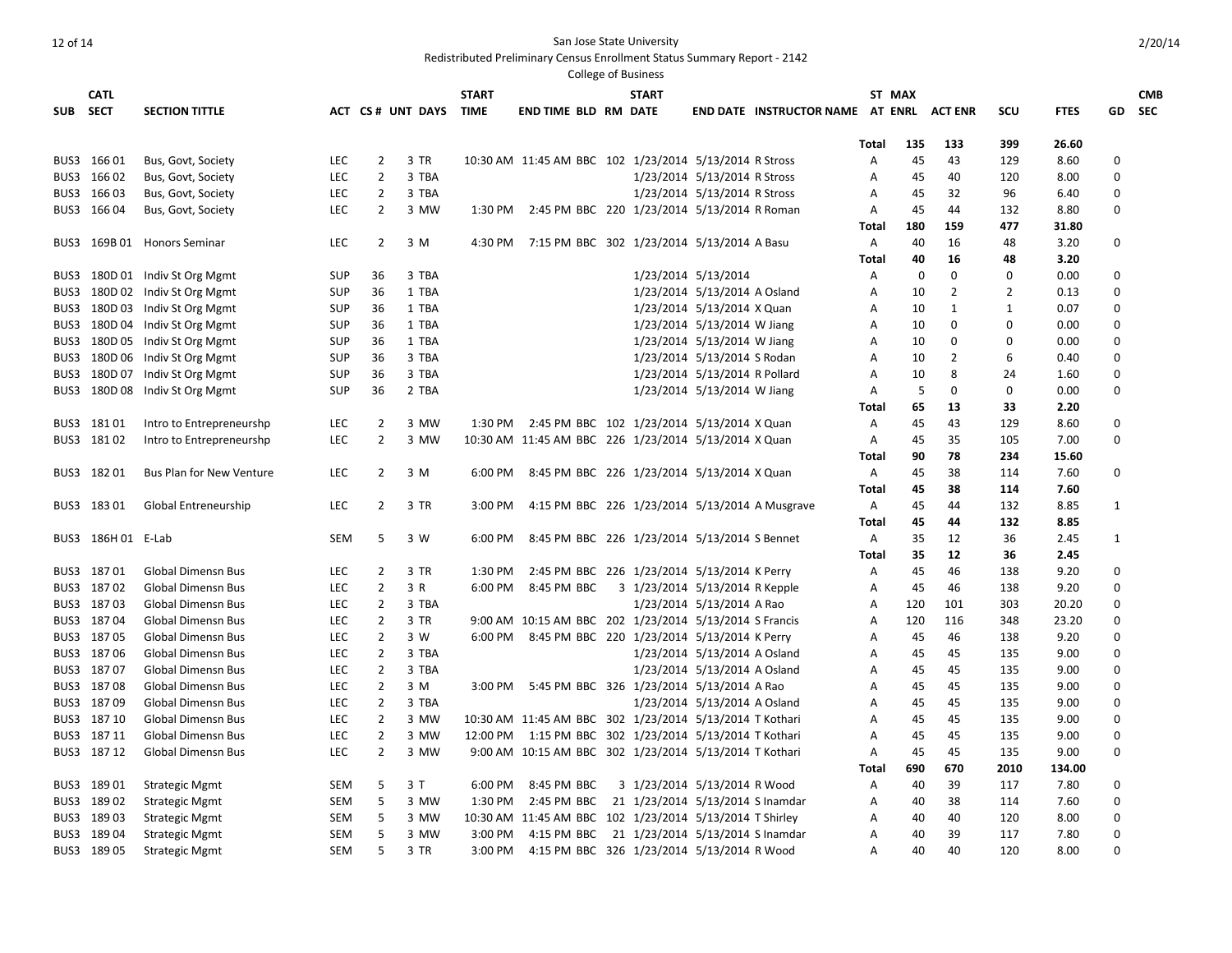Redistributed Preliminary Census Enrollment Status Summary Report - 2142

|          | <b>CATL</b>        |                                 |            |                |                        | <b>START</b> |                                                         | <b>START</b> |                                |                                          | ST MAX         |             |                |                |             |              | <b>CMB</b> |
|----------|--------------------|---------------------------------|------------|----------------|------------------------|--------------|---------------------------------------------------------|--------------|--------------------------------|------------------------------------------|----------------|-------------|----------------|----------------|-------------|--------------|------------|
| SUB SECT |                    | <b>SECTION TITTLE</b>           |            |                | ACT CS # UNT DAYS TIME |              | <b>END TIME BLD RM DATE</b>                             |              |                                | END DATE INSTRUCTOR NAME AT ENRL ACT ENR |                |             |                | SCU            | <b>FTES</b> | GD           | <b>SEC</b> |
|          |                    |                                 |            |                |                        |              |                                                         |              |                                |                                          |                |             |                |                |             |              |            |
|          |                    |                                 |            |                |                        |              |                                                         |              |                                |                                          | Total          | 135         | 133            | 399            | 26.60       |              |            |
|          | BUS3 166 01        | Bus, Govt, Society              | LEC        | $\overline{2}$ | 3 TR                   |              | 10:30 AM 11:45 AM BBC 102 1/23/2014 5/13/2014 R Stross  |              |                                |                                          | Α              | 45          | 43             | 129            | 8.60        | $\mathbf 0$  |            |
|          | BUS3 166 02        | Bus, Govt, Society              | LEC        | $\overline{2}$ | 3 TBA                  |              |                                                         |              | 1/23/2014 5/13/2014 R Stross   |                                          | Α              | 45          | 40             | 120            | 8.00        | $\mathbf 0$  |            |
|          | BUS3 166 03        | Bus, Govt, Society              | <b>LEC</b> | $\overline{2}$ | 3 TBA                  |              |                                                         |              | 1/23/2014 5/13/2014 R Stross   |                                          | A              | 45          | 32             | 96             | 6.40        | $\Omega$     |            |
|          | BUS3 166 04        | Bus, Govt, Society              | <b>LEC</b> | $\overline{2}$ | 3 MW                   |              | 1:30 PM 2:45 PM BBC 220 1/23/2014 5/13/2014 R Roman     |              |                                |                                          | Α              | 45          | 44             | 132            | 8.80        | $\mathbf 0$  |            |
|          |                    |                                 |            |                |                        |              |                                                         |              |                                |                                          | Total          | 180         | 159            | 477            | 31.80       |              |            |
| BUS3     |                    | 169B 01 Honors Seminar          | <b>LEC</b> | $\overline{2}$ | 3 M                    |              | 4:30 PM 7:15 PM BBC 302 1/23/2014 5/13/2014 A Basu      |              |                                |                                          | A              | 40          | 16             | 48             | 3.20        | $\mathbf 0$  |            |
|          |                    |                                 |            |                |                        |              |                                                         |              |                                |                                          | Total          | 40          | 16             | 48             | 3.20        |              |            |
| BUS3     |                    | 180D 01 Indiv St Org Mgmt       | <b>SUP</b> | 36             | 3 TBA                  |              |                                                         |              | 1/23/2014 5/13/2014            |                                          | A              | $\mathbf 0$ | $\mathbf 0$    | 0              | 0.00        | 0            |            |
|          |                    | BUS3 180D 02 Indiv St Org Mgmt  | <b>SUP</b> | 36             | 1 TBA                  |              |                                                         |              | 1/23/2014 5/13/2014 A Osland   |                                          | A              | 10          | $\overline{2}$ | $\overline{2}$ | 0.13        | $\Omega$     |            |
| BUS3     |                    | 180D 03 Indiv St Org Mgmt       | <b>SUP</b> | 36             | 1 TBA                  |              |                                                         |              | 1/23/2014 5/13/2014 X Quan     |                                          | Α              | 10          | $\mathbf{1}$   | $\mathbf{1}$   | 0.07        | 0            |            |
| BUS3     |                    | 180D 04 Indiv St Org Mgmt       | <b>SUP</b> | 36             | 1 TBA                  |              |                                                         |              | 1/23/2014 5/13/2014 W Jiang    |                                          | A              | 10          | 0              | $\Omega$       | 0.00        | $\mathbf 0$  |            |
|          |                    | BUS3 180D 05 Indiv St Org Mgmt  | <b>SUP</b> | 36             | 1 TBA                  |              |                                                         |              | 1/23/2014 5/13/2014 W Jiang    |                                          | A              | 10          | 0              | $\Omega$       | 0.00        | $\Omega$     |            |
| BUS3     |                    | 180D 06 Indiv St Org Mgmt       | <b>SUP</b> | 36             | 3 TBA                  |              |                                                         |              | 1/23/2014 5/13/2014 S Rodan    |                                          | $\overline{A}$ | 10          | $\overline{2}$ | 6              | 0.40        | $\Omega$     |            |
| BUS3     |                    | 180D 07 Indiv St Org Mgmt       | <b>SUP</b> | 36             | 3 TBA                  |              |                                                         |              | 1/23/2014 5/13/2014 R Pollard  |                                          | Α              | 10          | 8              | 24             | 1.60        | $\mathbf 0$  |            |
|          |                    | BUS3 180D 08 Indiv St Org Mgmt  | <b>SUP</b> | 36             | 2 TBA                  |              |                                                         |              | 1/23/2014 5/13/2014 W Jiang    |                                          | A              | 5           | $\mathbf 0$    | 0              | 0.00        | $\Omega$     |            |
|          |                    |                                 |            |                |                        |              |                                                         |              |                                |                                          | Total          | 65          | 13             | 33             | 2.20        |              |            |
|          | BUS3 18101         | Intro to Entrepreneurshp        | <b>LEC</b> | $\overline{2}$ | 3 MW                   |              | 1:30 PM 2:45 PM BBC 102 1/23/2014 5/13/2014 X Quan      |              |                                |                                          | Α              | 45          | 43             | 129            | 8.60        | 0            |            |
|          | BUS3 18102         | Intro to Entrepreneurshp        | <b>LEC</b> | $\overline{2}$ | 3 MW                   |              | 10:30 AM 11:45 AM BBC 226 1/23/2014 5/13/2014 X Quan    |              |                                |                                          | A              | 45          | 35             | 105            | 7.00        | $\mathbf 0$  |            |
|          |                    |                                 |            |                |                        |              |                                                         |              |                                |                                          | Total          | 90          | 78             | 234            | 15.60       |              |            |
|          | BUS3 18201         | <b>Bus Plan for New Venture</b> | LEC        | 2              | 3 M                    | 6:00 PM      | 8:45 PM BBC 226 1/23/2014 5/13/2014 X Quan              |              |                                |                                          | Α              | 45          | 38             | 114            | 7.60        | 0            |            |
|          |                    |                                 |            |                |                        |              |                                                         |              |                                |                                          | Total          | 45          | 38             | 114            | 7.60        |              |            |
|          | BUS3 18301         | Global Entreneurship            | LEC        | $\overline{2}$ | 3 TR                   | 3:00 PM      | 4:15 PM BBC 226 1/23/2014 5/13/2014 A Musgrave          |              |                                |                                          | A              | 45          | 44             | 132            | 8.85        | $\mathbf{1}$ |            |
|          |                    |                                 |            |                |                        |              |                                                         |              |                                |                                          | Total          | 45          | 44             | 132            | 8.85        |              |            |
|          | BUS3 186H 01 E-Lab |                                 | <b>SEM</b> | 5              | 3 W                    | 6:00 PM      | 8:45 PM BBC 226 1/23/2014 5/13/2014 S Bennet            |              |                                |                                          | A              | 35          | 12             | 36             | 2.45        | 1            |            |
|          |                    |                                 |            |                |                        |              |                                                         |              |                                |                                          | Total          | 35          | 12             | 36             | 2.45        |              |            |
|          | BUS3 18701         | <b>Global Dimensn Bus</b>       | <b>LEC</b> | $\overline{2}$ | 3 TR                   | 1:30 PM      | 2:45 PM BBC 226 1/23/2014 5/13/2014 K Perry             |              |                                |                                          | Α              | 45          | 46             | 138            | 9.20        | $\mathbf 0$  |            |
|          | BUS3 18702         | <b>Global Dimensn Bus</b>       | LEC        | $\overline{2}$ | 3 R                    | 6:00 PM      | 8:45 PM BBC                                             |              | 3 1/23/2014 5/13/2014 R Kepple |                                          | Α              | 45          | 46             | 138            | 9.20        | $\Omega$     |            |
|          | BUS3 18703         | Global Dimensn Bus              | LEC        | $\overline{2}$ | 3 TBA                  |              |                                                         |              | 1/23/2014 5/13/2014 A Rao      |                                          | Α              | 120         | 101            | 303            | 20.20       | $\Omega$     |            |
|          | BUS3 18704         | <b>Global Dimensn Bus</b>       | LEC        | $\overline{2}$ | 3 TR                   |              | 9:00 AM 10:15 AM BBC 202 1/23/2014 5/13/2014 S Francis  |              |                                |                                          | Α              | 120         | 116            | 348            | 23.20       | $\Omega$     |            |
|          | BUS3 18705         | <b>Global Dimensn Bus</b>       | <b>LEC</b> | $\overline{2}$ | 3 W                    |              | 6:00 PM 8:45 PM BBC 220 1/23/2014 5/13/2014 K Perry     |              |                                |                                          | A              | 45          | 46             | 138            | 9.20        | $\Omega$     |            |
|          | BUS3 18706         | <b>Global Dimensn Bus</b>       | LEC        | $\overline{2}$ | 3 TBA                  |              |                                                         |              | 1/23/2014 5/13/2014 A Osland   |                                          | A              | 45          | 45             | 135            | 9.00        | $\Omega$     |            |
|          | BUS3 18707         | <b>Global Dimensn Bus</b>       | LEC        | $\overline{2}$ | 3 TBA                  |              |                                                         |              | 1/23/2014 5/13/2014 A Osland   |                                          | Α              | 45          | 45             | 135            | 9.00        | $\mathbf 0$  |            |
|          | BUS3 18708         | <b>Global Dimensn Bus</b>       | LEC        | $\overline{2}$ | 3 M                    |              | 3:00 PM 5:45 PM BBC 326 1/23/2014 5/13/2014 A Rao       |              |                                |                                          | A              | 45          | 45             | 135            | 9.00        | $\Omega$     |            |
|          | BUS3 18709         | <b>Global Dimensn Bus</b>       | LEC        | $\overline{2}$ | 3 TBA                  |              |                                                         |              | 1/23/2014 5/13/2014 A Osland   |                                          | Α              | 45          | 45             | 135            | 9.00        | $\Omega$     |            |
|          | BUS3 18710         | <b>Global Dimensn Bus</b>       | <b>LEC</b> | $\overline{2}$ | 3 MW                   |              | 10:30 AM 11:45 AM BBC 302 1/23/2014 5/13/2014 T Kothari |              |                                |                                          | $\overline{A}$ | 45          | 45             | 135            | 9.00        | $\mathbf 0$  |            |
|          | BUS3 18711         | <b>Global Dimensn Bus</b>       | <b>LEC</b> | $\overline{2}$ | 3 MW                   |              | 12:00 PM 1:15 PM BBC 302 1/23/2014 5/13/2014 T Kothari  |              |                                |                                          | A              | 45          | 45             | 135            | 9.00        | 0            |            |
|          | BUS3 18712         | <b>Global Dimensn Bus</b>       | <b>LEC</b> | $\overline{2}$ | 3 MW                   |              | 9:00 AM 10:15 AM BBC 302 1/23/2014 5/13/2014 T Kothari  |              |                                |                                          | Α              | 45          | 45             | 135            | 9.00        | 0            |            |
|          |                    |                                 |            |                |                        |              |                                                         |              |                                |                                          | Total          | 690         | 670            | 2010           | 134.00      |              |            |
|          | BUS3 18901         | <b>Strategic Mgmt</b>           | <b>SEM</b> | 5              | 3T                     | 6:00 PM      | 8:45 PM BBC                                             |              | 3 1/23/2014 5/13/2014 R Wood   |                                          | A              | 40          | 39             | 117            | 7.80        | $\mathbf 0$  |            |
|          | BUS3 189 02        | <b>Strategic Mgmt</b>           | <b>SEM</b> | 5              | 3 MW                   |              | 1:30 PM 2:45 PM BBC 21 1/23/2014 5/13/2014 S Inamdar    |              |                                |                                          | Α              | 40          | 38             | 114            | 7.60        | 0            |            |
|          | BUS3 18903         | <b>Strategic Mgmt</b>           | <b>SEM</b> | 5              | 3 MW                   |              | 10:30 AM 11:45 AM BBC 102 1/23/2014 5/13/2014 T Shirley |              |                                |                                          | A              | 40          | 40             | 120            | 8.00        | $\mathbf 0$  |            |
|          | BUS3 18904         | <b>Strategic Mgmt</b>           | <b>SEM</b> | 5              | 3 MW                   | 3:00 PM      | 4:15 PM BBC 21 1/23/2014 5/13/2014 S Inamdar            |              |                                |                                          | A              | 40          | 39             | 117            | 7.80        | $\Omega$     |            |
|          | BUS3 189 05        | <b>Strategic Mgmt</b>           | <b>SEM</b> | 5              | 3 TR                   |              | 3:00 PM 4:15 PM BBC 326 1/23/2014 5/13/2014 R Wood      |              |                                |                                          | $\overline{A}$ | 40          | 40             | 120            | 8.00        | $\Omega$     |            |
|          |                    |                                 |            |                |                        |              |                                                         |              |                                |                                          |                |             |                |                |             |              |            |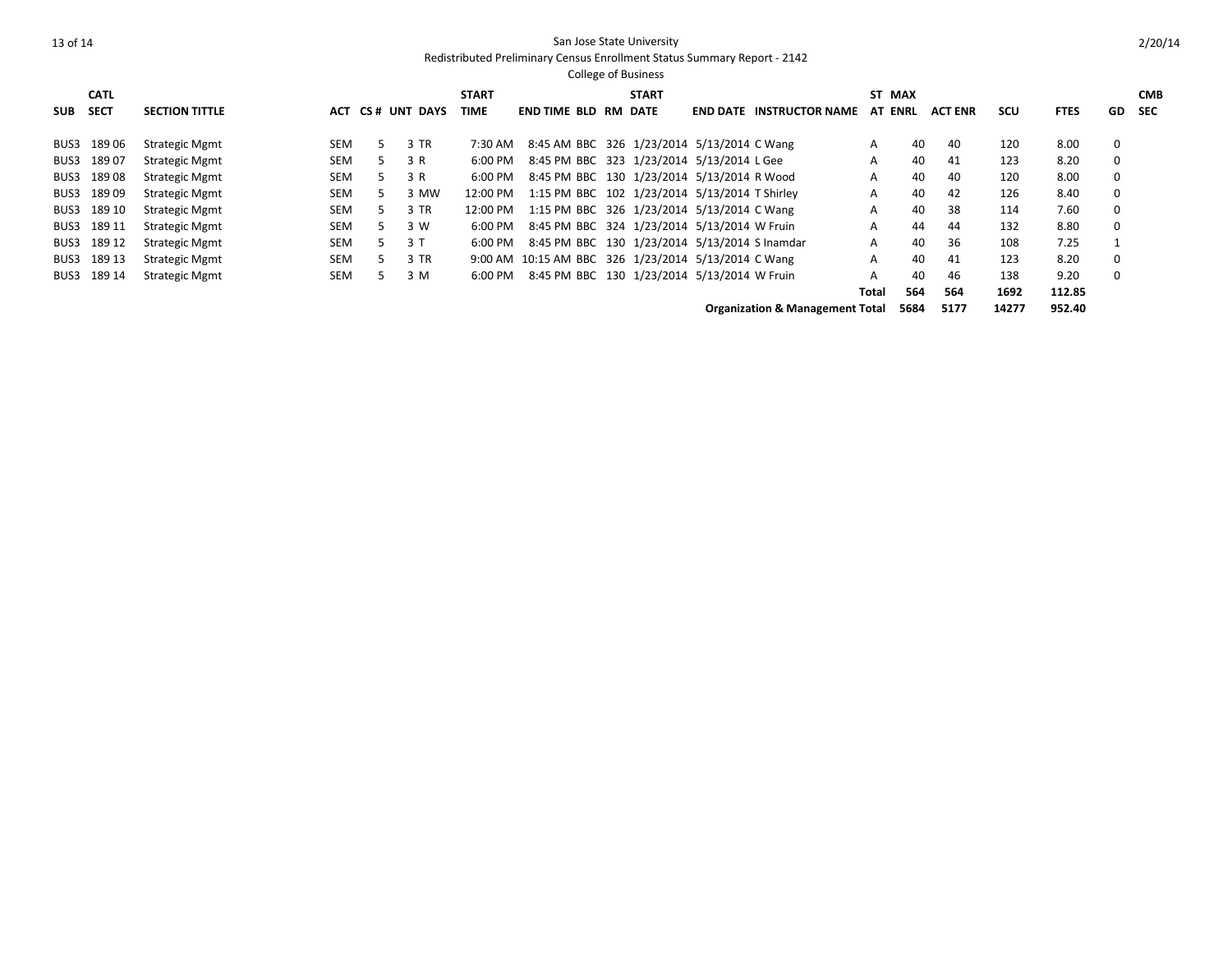| <b>College of Business</b>                 |             |                       |            |    |                  |              |                                                     |  |              |  |                                 |                |       |                |      |             |    |            |
|--------------------------------------------|-------------|-----------------------|------------|----|------------------|--------------|-----------------------------------------------------|--|--------------|--|---------------------------------|----------------|-------|----------------|------|-------------|----|------------|
|                                            | <b>CATL</b> |                       |            |    |                  | <b>START</b> |                                                     |  | <b>START</b> |  |                                 | ST MAX         |       |                |      |             |    | <b>CMB</b> |
| <b>SUB</b>                                 | <b>SECT</b> | <b>SECTION TITTLE</b> |            |    | ACT CS# UNT DAYS | TIME         | <b>END TIME BLD RM</b>                              |  | DATE         |  | <b>END DATE INSTRUCTOR NAME</b> | <b>AT ENRL</b> |       | <b>ACT ENR</b> | SCU  | <b>FTES</b> | GD | <b>SEC</b> |
| BUS3                                       | 18906       | <b>Strategic Mgmt</b> | SEM        | 5. | 3 TR             | 7:30 AM      | 8:45 AM BBC 326 1/23/2014 5/13/2014 C Wang          |  |              |  |                                 | A              | 40    | 40             | 120  | 8.00        | 0  |            |
| BUS3                                       | 18907       | <b>Strategic Mgmt</b> | <b>SEM</b> | 5. | 3 R              | 6:00 PM      | 8:45 PM BBC 323 1/23/2014 5/13/2014 L Gee           |  |              |  |                                 | A              | 40    | 41             | 123  | 8.20        | 0  |            |
| BUS3                                       | 18908       | <b>Strategic Mgmt</b> | <b>SEM</b> | 5. | 3 R              | 6:00 PM      | 8:45 PM BBC 130 1/23/2014 5/13/2014 R Wood          |  |              |  |                                 | A              | 40    | 40             | 120  | 8.00        | 0  |            |
| BUS3                                       | 18909       | <b>Strategic Mgmt</b> | <b>SEM</b> | 5  | 3 MW             | 12:00 PM     | 1:15 PM BBC 102 1/23/2014 5/13/2014 T Shirley       |  |              |  |                                 | A              | 40    | 42             | 126  | 8.40        | 0  |            |
| BUS3                                       | 189 10      | <b>Strategic Mgmt</b> | <b>SEM</b> | 5. | 3 TR             | 12:00 PM     | 1:15 PM BBC 326 1/23/2014 5/13/2014 C Wang          |  |              |  |                                 | A              | 40    | 38             | 114  | 7.60        | 0  |            |
|                                            | BUS3 189 11 | <b>Strategic Mgmt</b> | <b>SEM</b> | 5. | 3 W              | 6:00 PM      | 8:45 PM BBC 324 1/23/2014 5/13/2014 W Fruin         |  |              |  |                                 | А              | 44    | 44             | 132  | 8.80        | 0  |            |
| BUS3                                       | 189 12      | <b>Strategic Mgmt</b> | <b>SEM</b> | 5. | 3T               | 6:00 PM      | 8:45 PM BBC 130 1/23/2014 5/13/2014 S Inamdar       |  |              |  |                                 | A              | 40    | 36             | 108  | 7.25        |    |            |
|                                            | BUS3 189 13 | <b>Strategic Mgmt</b> | SEM        | 5. | 3 TR             |              | 9:00 AM 10:15 AM BBC 326 1/23/2014 5/13/2014 C Wang |  |              |  |                                 | A              | 40    | 41             | 123  | 8.20        | 0  |            |
|                                            | BUS3 189 14 | <b>Strategic Mgmt</b> | SEM        | 5. | 3 M              | 6:00 PM      | 8:45 PM BBC 130 1/23/2014 5/13/2014 W Fruin         |  |              |  |                                 | А              | 40    | 46             | 138  | 9.20        | 0  |            |
|                                            |             |                       |            |    |                  |              |                                                     |  |              |  |                                 | Total          | 564   | 564            | 1692 | 112.85      |    |            |
| <b>Organization &amp; Management Total</b> |             |                       |            |    |                  |              |                                                     |  |              |  | 5684                            | 5177           | 14277 | 952.40         |      |             |    |            |